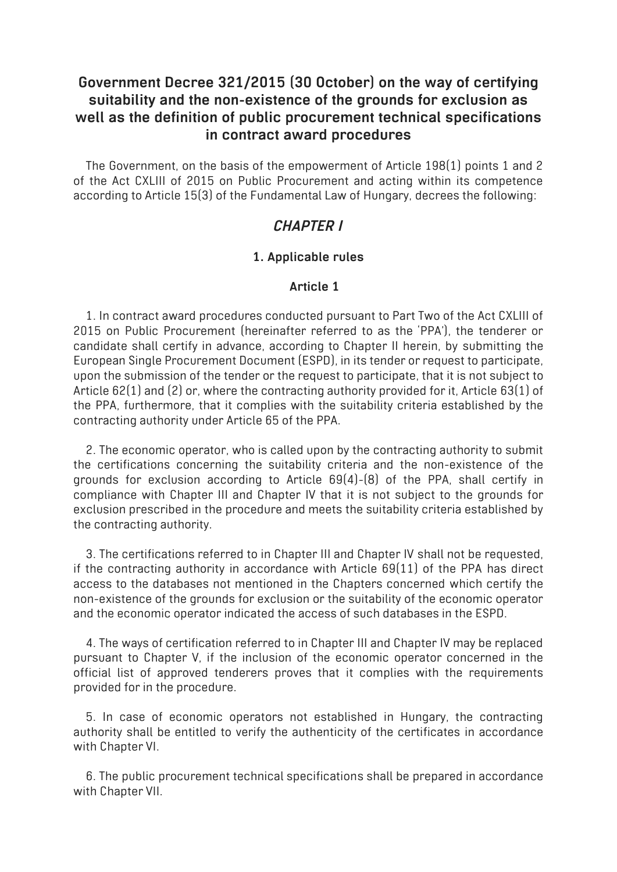# **Government Decree 321/2015 (30 October) on the way of certifying suitability and the non-existence of the grounds for exclusion as well as the definition of public procurement technical specifications in contract award procedures**

The Government, on the basis of the empowerment of Article 198(1) points 1 and 2 of the Act CXLIII of 2015 on Public Procurement and acting within its competence according to Article 15(3) of the Fundamental Law of Hungary, decrees the following:

# *CHAPTER I*

### **1. Applicable rules**

### **Article 1**

1. In contract award procedures conducted pursuant to Part Two of the Act CXLIII of 2015 on Public Procurement (hereinafter referred to as the 'PPA'), the tenderer or candidate shall certify in advance, according to Chapter II herein, by submitting the European Single Procurement Document (ESPD), in its tender or request to participate, upon the submission of the tender or the request to participate, that it is not subject to Article 62(1) and (2) or, where the contracting authority provided for it, Article 63(1) of the PPA, furthermore, that it complies with the suitability criteria established by the contracting authority under Article 65 of the PPA.

2. The economic operator, who is called upon by the contracting authority to submit the certifications concerning the suitability criteria and the non-existence of the grounds for exclusion according to Article 69(4)-(8) of the PPA, shall certify in compliance with Chapter III and Chapter IV that it is not subject to the grounds for exclusion prescribed in the procedure and meets the suitability criteria established by the contracting authority.

3. The certifications referred to in Chapter III and Chapter IV shall not be requested, if the contracting authority in accordance with Article 69(11) of the PPA has direct access to the databases not mentioned in the Chapters concerned which certify the non-existence of the grounds for exclusion or the suitability of the economic operator and the economic operator indicated the access of such databases in the ESPD.

4. The ways of certification referred to in Chapter III and Chapter IV may be replaced pursuant to Chapter V, if the inclusion of the economic operator concerned in the official list of approved tenderers proves that it complies with the requirements provided for in the procedure.

5. In case of economic operators not established in Hungary, the contracting authority shall be entitled to verify the authenticity of the certificates in accordance with Chapter VI.

6. The public procurement technical specifications shall be prepared in accordance with Chapter VII.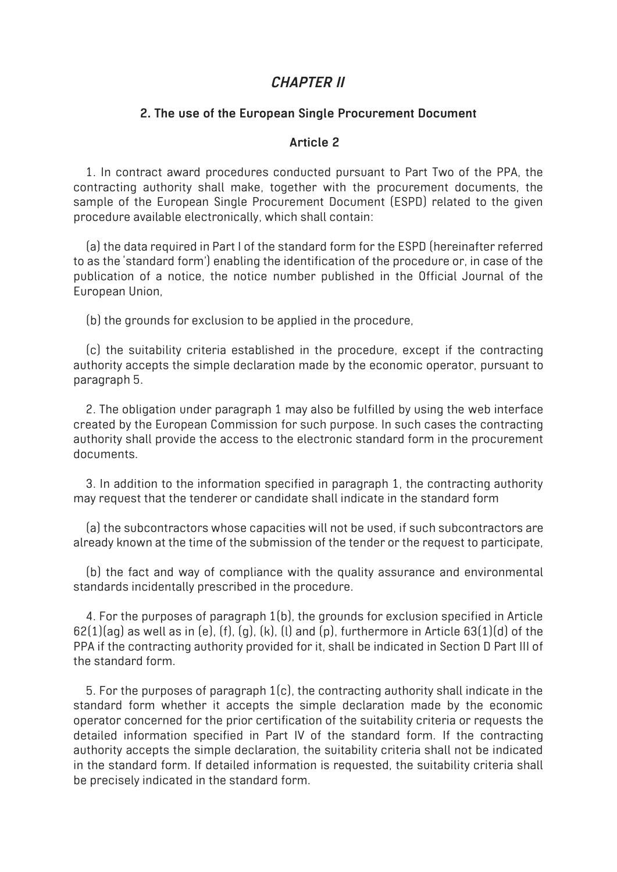# *CHAPTER II*

#### **2. The use of the European Single Procurement Document**

#### **Article 2**

1. In contract award procedures conducted pursuant to Part Two of the PPA, the contracting authority shall make, together with the procurement documents, the sample of the European Single Procurement Document (ESPD) related to the given procedure available electronically, which shall contain:

(a) the data required in Part I of the standard form for the ESPD (hereinafter referred to as the 'standard form') enabling the identification of the procedure or, in case of the publication of a notice, the notice number published in the Official Journal of the European Union,

(b) the grounds for exclusion to be applied in the procedure,

(c) the suitability criteria established in the procedure, except if the contracting authority accepts the simple declaration made by the economic operator, pursuant to paragraph 5.

2. The obligation under paragraph 1 may also be fulfilled by using the web interface created by the European Commission for such purpose. In such cases the contracting authority shall provide the access to the electronic standard form in the procurement documents.

3. In addition to the information specified in paragraph 1, the contracting authority may request that the tenderer or candidate shall indicate in the standard form

(a) the subcontractors whose capacities will not be used, if such subcontractors are already known at the time of the submission of the tender or the request to participate,

(b) the fact and way of compliance with the quality assurance and environmental standards incidentally prescribed in the procedure.

4. For the purposes of paragraph 1(b), the grounds for exclusion specified in Article  $62(1)(aq)$  as well as in (e), (f), (q), (k), (l) and (p), furthermore in Article  $63(1)(d)$  of the PPA if the contracting authority provided for it, shall be indicated in Section D Part III of the standard form.

5. For the purposes of paragraph 1(c), the contracting authority shall indicate in the standard form whether it accepts the simple declaration made by the economic operator concerned for the prior certification of the suitability criteria or requests the detailed information specified in Part IV of the standard form. If the contracting authority accepts the simple declaration, the suitability criteria shall not be indicated in the standard form. If detailed information is requested, the suitability criteria shall be precisely indicated in the standard form.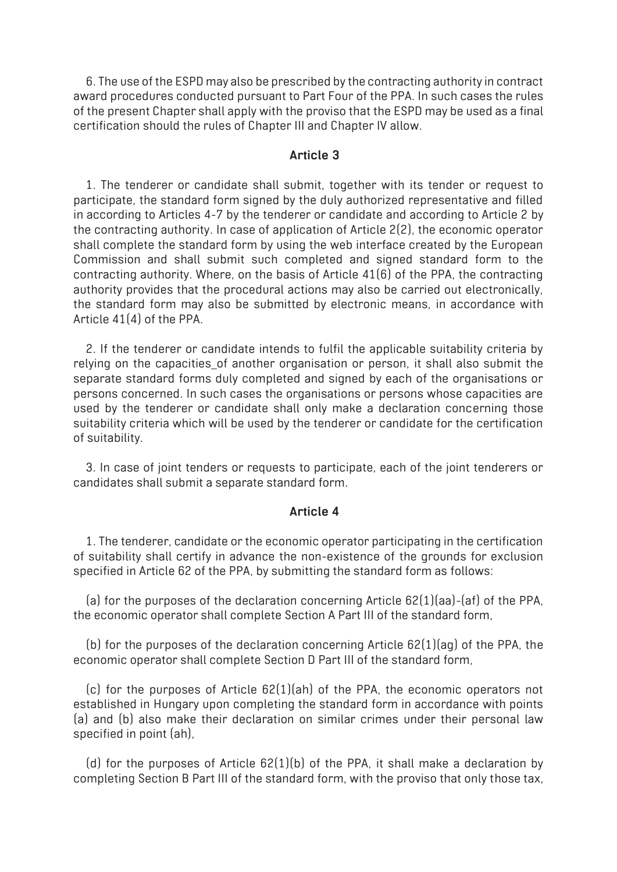6. The use of the ESPD may also be prescribed by the contracting authority in contract award procedures conducted pursuant to Part Four of the PPA. In such cases the rules of the present Chapter shall apply with the proviso that the ESPD may be used as a final certification should the rules of Chapter III and Chapter IV allow.

#### **Article 3**

1. The tenderer or candidate shall submit, together with its tender or request to participate, the standard form signed by the duly authorized representative and filled in according to Articles 4-7 by the tenderer or candidate and according to Article 2 by the contracting authority. In case of application of Article 2(2), the economic operator shall complete the standard form by using the web interface created by the European Commission and shall submit such completed and signed standard form to the contracting authority. Where, on the basis of Article 41(6) of the PPA, the contracting authority provides that the procedural actions may also be carried out electronically, the standard form may also be submitted by electronic means, in accordance with Article 41(4) of the PPA.

2. If the tenderer or candidate intends to fulfil the applicable suitability criteria by relying on the capacities of another organisation or person, it shall also submit the separate standard forms duly completed and signed by each of the organisations or persons concerned. In such cases the organisations or persons whose capacities are used by the tenderer or candidate shall only make a declaration concerning those suitability criteria which will be used by the tenderer or candidate for the certification of suitability.

3. In case of joint tenders or requests to participate, each of the joint tenderers or candidates shall submit a separate standard form.

#### **Article 4**

1. The tenderer, candidate or the economic operator participating in the certification of suitability shall certify in advance the non-existence of the grounds for exclusion specified in Article 62 of the PPA, by submitting the standard form as follows:

(a) for the purposes of the declaration concerning Article 62(1)(aa)-(af) of the PPA, the economic operator shall complete Section A Part III of the standard form,

(b) for the purposes of the declaration concerning Article  $62(1)(aq)$  of the PPA, the economic operator shall complete Section D Part III of the standard form,

(c) for the purposes of Article 62(1)(ah) of the PPA, the economic operators not established in Hungary upon completing the standard form in accordance with points (a) and (b) also make their declaration on similar crimes under their personal law specified in point (ah),

(d) for the purposes of Article 62(1)(b) of the PPA, it shall make a declaration by completing Section B Part III of the standard form, with the proviso that only those tax,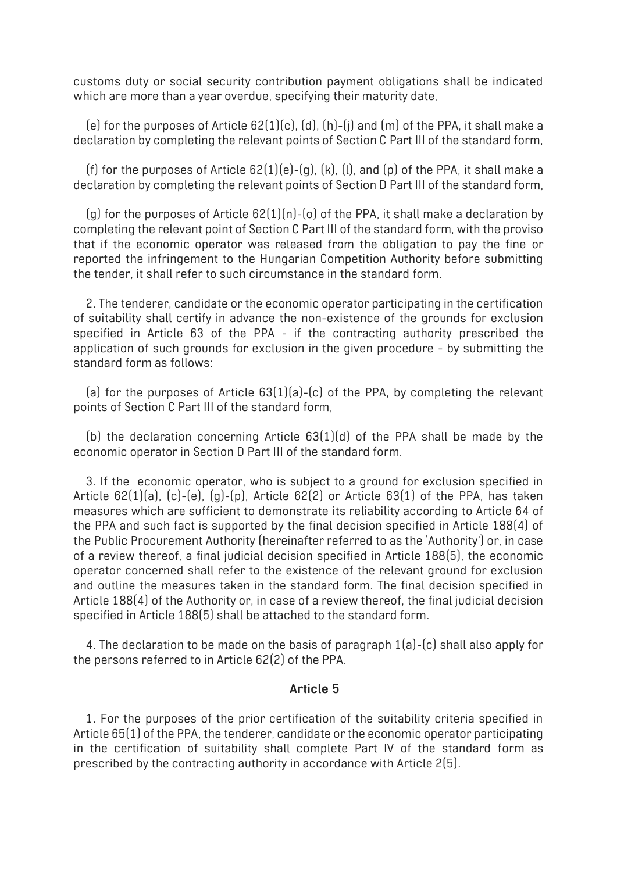customs duty or social security contribution payment obligations shall be indicated which are more than a year overdue, specifying their maturity date,

(e) for the purposes of Article  $62(1)(c)$ , (d), (h)-(i) and (m) of the PPA, it shall make a declaration by completing the relevant points of Section C Part III of the standard form,

(f) for the purposes of Article 62(1)(e)-(g), (k), (l), and (p) of the PPA, it shall make a declaration by completing the relevant points of Section D Part III of the standard form,

(g) for the purposes of Article  $62(1)(n)-(o)$  of the PPA, it shall make a declaration by completing the relevant point of Section C Part III of the standard form, with the proviso that if the economic operator was released from the obligation to pay the fine or reported the infringement to the Hungarian Competition Authority before submitting the tender, it shall refer to such circumstance in the standard form.

2. The tenderer, candidate or the economic operator participating in the certification of suitability shall certify in advance the non-existence of the grounds for exclusion specified in Article 63 of the PPA - if the contracting authority prescribed the application of such grounds for exclusion in the given procedure - by submitting the standard form as follows:

(a) for the purposes of Article 63(1)(a)-(c) of the PPA, by completing the relevant points of Section C Part III of the standard form,

(b) the declaration concerning Article 63(1)(d) of the PPA shall be made by the economic operator in Section D Part III of the standard form.

3. If the economic operator, who is subject to a ground for exclusion specified in Article 62(1)(a), (c)-(e), (g)-(p), Article 62(2) or Article 63(1) of the PPA, has taken measures which are sufficient to demonstrate its reliability according to Article 64 of the PPA and such fact is supported by the final decision specified in Article 188(4) of the Public Procurement Authority (hereinafter referred to as the 'Authority') or, in case of a review thereof, a final judicial decision specified in Article 188(5), the economic operator concerned shall refer to the existence of the relevant ground for exclusion and outline the measures taken in the standard form. The final decision specified in Article 188(4) of the Authority or, in case of a review thereof, the final judicial decision specified in Article 188(5) shall be attached to the standard form.

4. The declaration to be made on the basis of paragraph 1(a)-(c) shall also apply for the persons referred to in Article 62(2) of the PPA.

### **Article 5**

1. For the purposes of the prior certification of the suitability criteria specified in Article 65(1) of the PPA, the tenderer, candidate or the economic operator participating in the certification of suitability shall complete Part IV of the standard form as prescribed by the contracting authority in accordance with Article 2(5).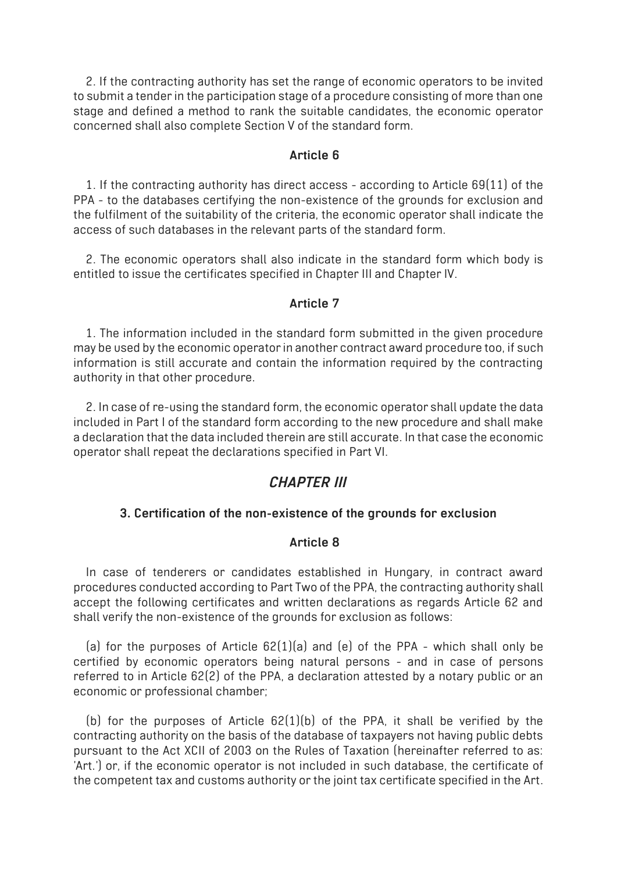2. If the contracting authority has set the range of economic operators to be invited to submit a tender in the participation stage of a procedure consisting of more than one stage and defined a method to rank the suitable candidates, the economic operator concerned shall also complete Section V of the standard form.

#### **Article 6**

1. If the contracting authority has direct access - according to Article 69(11) of the PPA - to the databases certifying the non-existence of the grounds for exclusion and the fulfilment of the suitability of the criteria, the economic operator shall indicate the access of such databases in the relevant parts of the standard form.

2. The economic operators shall also indicate in the standard form which body is entitled to issue the certificates specified in Chapter III and Chapter IV.

### **Article 7**

1. The information included in the standard form submitted in the given procedure may be used by the economic operator in another contract award procedure too, if such information is still accurate and contain the information required by the contracting authority in that other procedure.

2. In case of re-using the standard form, the economic operator shall update the data included in Part I of the standard form according to the new procedure and shall make a declaration that the data included therein are still accurate. In that case the economic operator shall repeat the declarations specified in Part VI.

### *CHAPTER III*

### **3. Certification of the non-existence of the grounds for exclusion**

#### **Article 8**

In case of tenderers or candidates established in Hungary, in contract award procedures conducted according to Part Two of the PPA, the contracting authority shall accept the following certificates and written declarations as regards Article 62 and shall verify the non-existence of the grounds for exclusion as follows:

(a) for the purposes of Article  $62(1)(a)$  and (e) of the PPA - which shall only be certified by economic operators being natural persons - and in case of persons referred to in Article 62(2) of the PPA, a declaration attested by a notary public or an economic or professional chamber;

(b) for the purposes of Article  $62(1)(b)$  of the PPA, it shall be verified by the contracting authority on the basis of the database of taxpayers not having public debts pursuant to the Act XCII of 2003 on the Rules of Taxation (hereinafter referred to as: 'Art.') or, if the economic operator is not included in such database, the certificate of the competent tax and customs authority or the joint tax certificate specified in the Art.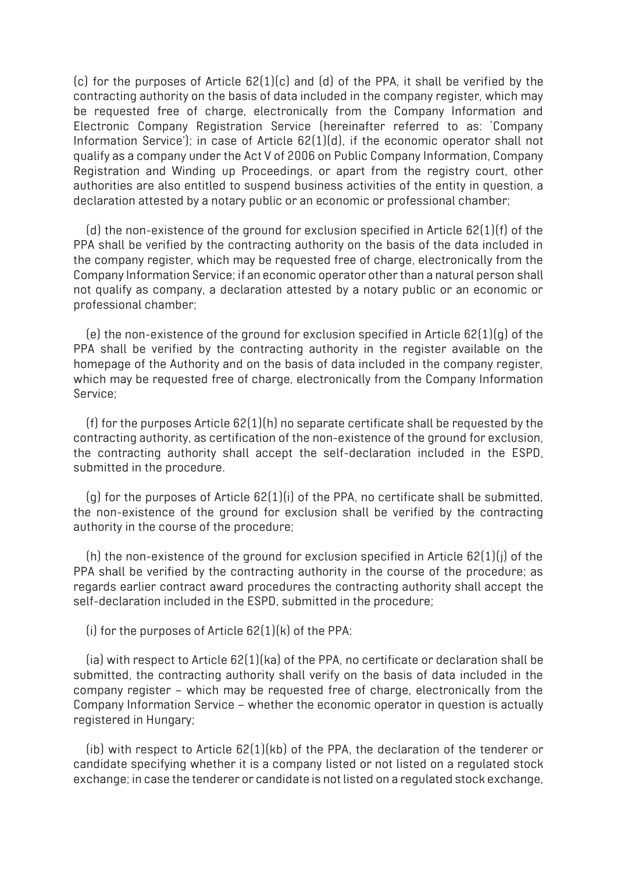(c) for the purposes of Article 62(1)(c) and (d) of the PPA, it shall be verified by the contracting authority on the basis of data included in the company register, which may be requested free of charge, electronically from the Company Information and Electronic Company Registration Service (hereinafter referred to as: 'Company Information Service'); in case of Article 62(1)(d), if the economic operator shall not qualify as a company under the Act V of 2006 on Public Company Information, Company Registration and Winding up Proceedings, or apart from the registry court, other authorities are also entitled to suspend business activities of the entity in question, a declaration attested by a notary public or an economic or professional chamber;

(d) the non-existence of the ground for exclusion specified in Article 62(1)(f) of the PPA shall be verified by the contracting authority on the basis of the data included in the company register, which may be requested free of charge, electronically from the Company Information Service; if an economic operator other than a natural person shall not qualify as company, a declaration attested by a notary public or an economic or professional chamber;

(e) the non-existence of the ground for exclusion specified in Article 62(1)(g) of the PPA shall be verified by the contracting authority in the register available on the homepage of the Authority and on the basis of data included in the company register, which may be requested free of charge, electronically from the Company Information Service;

(f) for the purposes Article  $62(1)(h)$  no separate certificate shall be requested by the contracting authority, as certification of the non-existence of the ground for exclusion, the contracting authority shall accept the self-declaration included in the ESPD, submitted in the procedure.

 $(q)$  for the purposes of Article  $62(1)(i)$  of the PPA, no certificate shall be submitted, the non-existence of the ground for exclusion shall be verified by the contracting authority in the course of the procedure;

(h) the non-existence of the ground for exclusion specified in Article 62(1)(j) of the PPA shall be verified by the contracting authority in the course of the procedure; as regards earlier contract award procedures the contracting authority shall accept the self-declaration included in the ESPD, submitted in the procedure;

(i) for the purposes of Article  $62(1)(k)$  of the PPA:

(ia) with respect to Article 62(1)(ka) of the PPA, no certificate or declaration shall be submitted, the contracting authority shall verify on the basis of data included in the company register – which may be requested free of charge, electronically from the Company Information Service – whether the economic operator in question is actually registered in Hungary;

(ib) with respect to Article 62(1)(kb) of the PPA, the declaration of the tenderer or candidate specifying whether it is a company listed or not listed on a regulated stock exchange; in case the tenderer or candidate is not listed on a regulated stock exchange,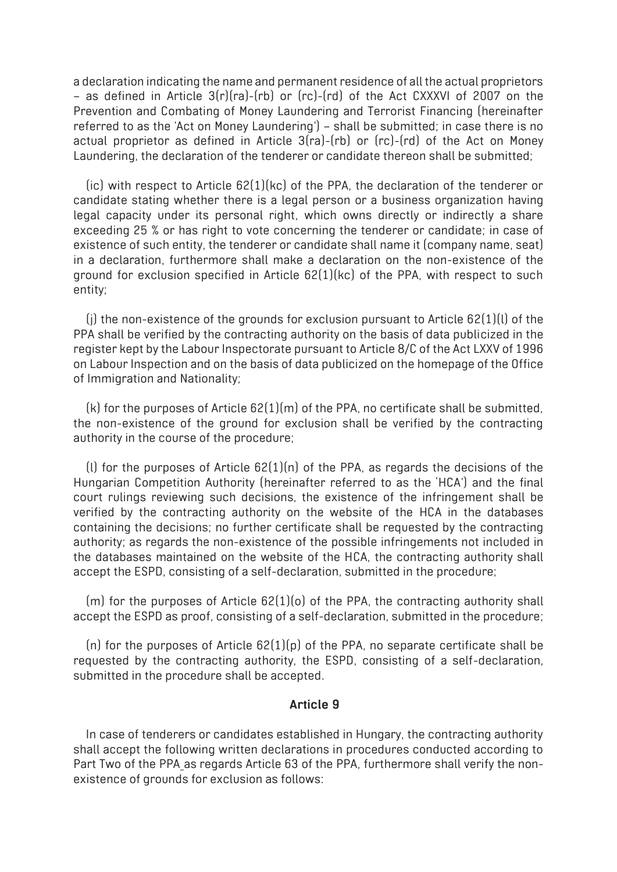a declaration indicating the name and permanent residence of all the actual proprietors – as defined in Article 3(r)(ra)-(rb) or (rc)-(rd) of the Act CXXXVI of 2007 on the Prevention and Combating of Money Laundering and Terrorist Financing (hereinafter referred to as the 'Act on Money Laundering') – shall be submitted; in case there is no actual proprietor as defined in Article 3(ra)-(rb) or (rc)-(rd) of the Act on Money Laundering, the declaration of the tenderer or candidate thereon shall be submitted;

(ic) with respect to Article 62(1)(kc) of the PPA, the declaration of the tenderer or candidate stating whether there is a legal person or a business organization having legal capacity under its personal right, which owns directly or indirectly a share exceeding 25 % or has right to vote concerning the tenderer or candidate; in case of existence of such entity, the tenderer or candidate shall name it (company name, seat) in a declaration, furthermore shall make a declaration on the non-existence of the ground for exclusion specified in Article 62(1)(kc) of the PPA, with respect to such entity;

(j) the non-existence of the grounds for exclusion pursuant to Article 62(1)(l) of the PPA shall be verified by the contracting authority on the basis of data publicized in the register kept by the Labour Inspectorate pursuant to Article 8/C of the Act LXXV of 1996 on Labour Inspection and on the basis of data publicized on the homepage of the Office of Immigration and Nationality;

(k) for the purposes of Article 62(1)(m) of the PPA, no certificate shall be submitted, the non-existence of the ground for exclusion shall be verified by the contracting authority in the course of the procedure;

(l) for the purposes of Article 62(1)(n) of the PPA, as regards the decisions of the Hungarian Competition Authority (hereinafter referred to as the 'HCA') and the final court rulings reviewing such decisions, the existence of the infringement shall be verified by the contracting authority on the website of the HCA in the databases containing the decisions; no further certificate shall be requested by the contracting authority; as regards the non-existence of the possible infringements not included in the databases maintained on the website of the HCA, the contracting authority shall accept the ESPD, consisting of a self-declaration, submitted in the procedure;

(m) for the purposes of Article 62(1)(o) of the PPA, the contracting authority shall accept the ESPD as proof, consisting of a self-declaration, submitted in the procedure;

(n) for the purposes of Article  $62(1)(p)$  of the PPA, no separate certificate shall be requested by the contracting authority, the ESPD, consisting of a self-declaration, submitted in the procedure shall be accepted.

### **Article 9**

In case of tenderers or candidates established in Hungary, the contracting authority shall accept the following written declarations in procedures conducted according to Part Two of the PPA as regards Article 63 of the PPA, furthermore shall verify the nonexistence of grounds for exclusion as follows: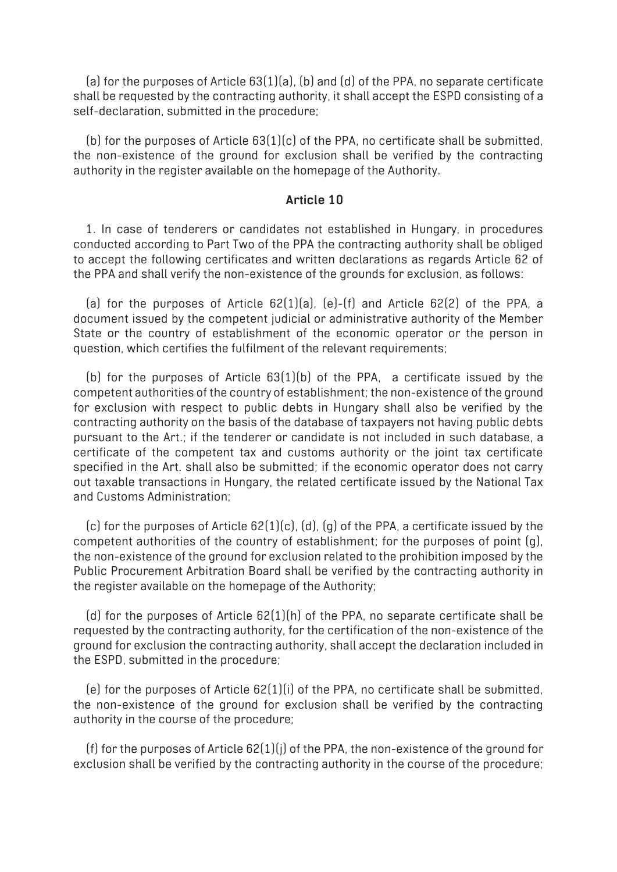(a) for the purposes of Article 63(1)(a), (b) and (d) of the PPA, no separate certificate shall be requested by the contracting authority, it shall accept the ESPD consisting of a self-declaration, submitted in the procedure;

(b) for the purposes of Article  $63(1)(c)$  of the PPA, no certificate shall be submitted, the non-existence of the ground for exclusion shall be verified by the contracting authority in the register available on the homepage of the Authority.

#### **Article 10**

1. In case of tenderers or candidates not established in Hungary, in procedures conducted according to Part Two of the PPA the contracting authority shall be obliged to accept the following certificates and written declarations as regards Article 62 of the PPA and shall verify the non-existence of the grounds for exclusion, as follows:

(a) for the purposes of Article  $62(1)(a)$ , (e)-(f) and Article  $62(2)$  of the PPA, a document issued by the competent judicial or administrative authority of the Member State or the country of establishment of the economic operator or the person in question, which certifies the fulfilment of the relevant requirements;

(b) for the purposes of Article  $63(1)(b)$  of the PPA, a certificate issued by the competent authorities of the country of establishment; the non-existence of the ground for exclusion with respect to public debts in Hungary shall also be verified by the contracting authority on the basis of the database of taxpayers not having public debts pursuant to the Art.; if the tenderer or candidate is not included in such database, a certificate of the competent tax and customs authority or the joint tax certificate specified in the Art. shall also be submitted; if the economic operator does not carry out taxable transactions in Hungary, the related certificate issued by the National Tax and Customs Administration;

(c) for the purposes of Article  $62(1)(c)$ , (d), (g) of the PPA, a certificate issued by the competent authorities of the country of establishment; for the purposes of point (g), the non-existence of the ground for exclusion related to the prohibition imposed by the Public Procurement Arbitration Board shall be verified by the contracting authority in the register available on the homepage of the Authority;

(d) for the purposes of Article  $62(1)(h)$  of the PPA, no separate certificate shall be requested by the contracting authority, for the certification of the non-existence of the ground for exclusion the contracting authority, shall accept the declaration included in the ESPD, submitted in the procedure;

(e) for the purposes of Article  $62(1)(i)$  of the PPA, no certificate shall be submitted, the non-existence of the ground for exclusion shall be verified by the contracting authority in the course of the procedure;

(f) for the purposes of Article  $62(1)(j)$  of the PPA, the non-existence of the ground for exclusion shall be verified by the contracting authority in the course of the procedure;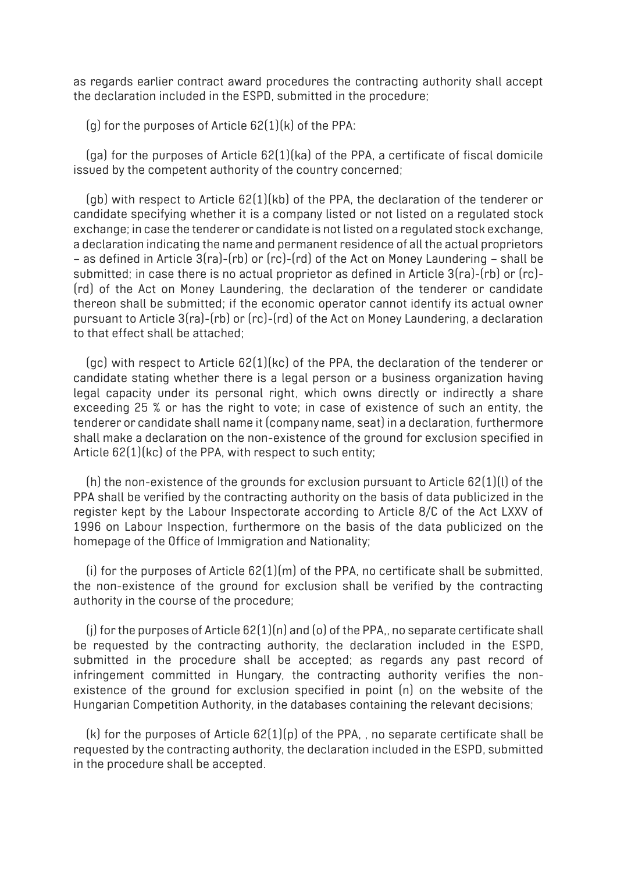as regards earlier contract award procedures the contracting authority shall accept the declaration included in the ESPD, submitted in the procedure;

 $(q)$  for the purposes of Article  $62(1)(k)$  of the PPA:

(ga) for the purposes of Article 62(1)(ka) of the PPA, a certificate of fiscal domicile issued by the competent authority of the country concerned;

(gb) with respect to Article 62(1)(kb) of the PPA, the declaration of the tenderer or candidate specifying whether it is a company listed or not listed on a regulated stock exchange; in case the tenderer or candidate is not listed on a regulated stock exchange, a declaration indicating the name and permanent residence of all the actual proprietors – as defined in Article 3(ra)-(rb) or (rc)-(rd) of the Act on Money Laundering – shall be submitted; in case there is no actual proprietor as defined in Article 3(ra)-(rb) or (rc)- (rd) of the Act on Money Laundering, the declaration of the tenderer or candidate thereon shall be submitted; if the economic operator cannot identify its actual owner pursuant to Article 3(ra)-(rb) or (rc)-(rd) of the Act on Money Laundering, a declaration to that effect shall be attached;

(gc) with respect to Article 62(1)(kc) of the PPA, the declaration of the tenderer or candidate stating whether there is a legal person or a business organization having legal capacity under its personal right, which owns directly or indirectly a share exceeding 25 % or has the right to vote; in case of existence of such an entity, the tenderer or candidate shall name it (company name, seat) in a declaration, furthermore shall make a declaration on the non-existence of the ground for exclusion specified in Article 62(1)(kc) of the PPA, with respect to such entity;

(h) the non-existence of the grounds for exclusion pursuant to Article 62(1)(l) of the PPA shall be verified by the contracting authority on the basis of data publicized in the register kept by the Labour Inspectorate according to Article 8/C of the Act LXXV of 1996 on Labour Inspection, furthermore on the basis of the data publicized on the homepage of the Office of Immigration and Nationality;

 $(i)$  for the purposes of Article  $62(1)(m)$  of the PPA, no certificate shall be submitted, the non-existence of the ground for exclusion shall be verified by the contracting authority in the course of the procedure;

(j) for the purposes of Article 62(1)(n) and (o) of the PPA,, no separate certificate shall be requested by the contracting authority, the declaration included in the ESPD, submitted in the procedure shall be accepted; as regards any past record of infringement committed in Hungary, the contracting authority verifies the nonexistence of the ground for exclusion specified in point (n) on the website of the Hungarian Competition Authority, in the databases containing the relevant decisions;

 $(k)$  for the purposes of Article  $62(1)(p)$  of the PPA, , no separate certificate shall be requested by the contracting authority, the declaration included in the ESPD, submitted in the procedure shall be accepted.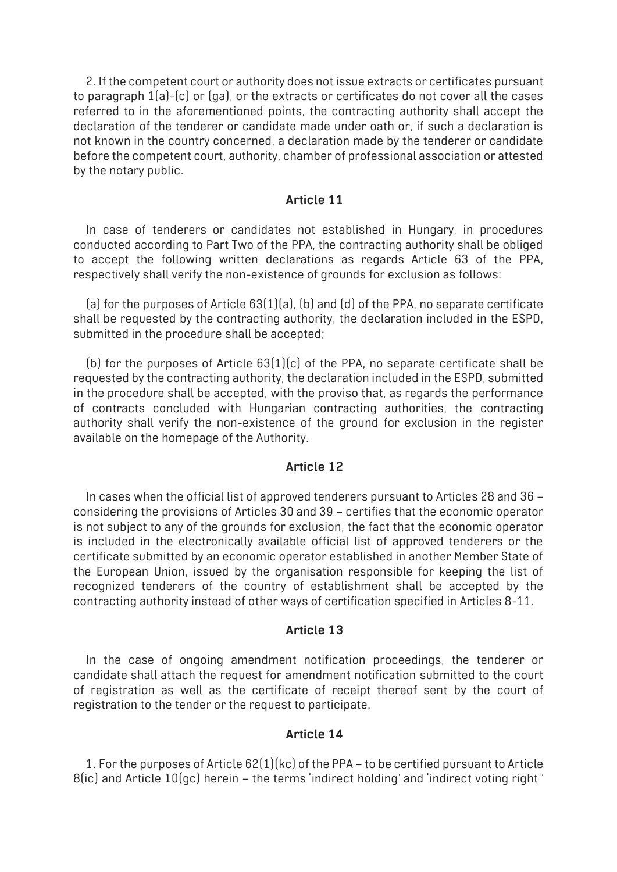2. If the competent court or authority does not issue extracts or certificates pursuant to paragraph 1(a)-(c) or (ga), or the extracts or certificates do not cover all the cases referred to in the aforementioned points, the contracting authority shall accept the declaration of the tenderer or candidate made under oath or, if such a declaration is not known in the country concerned, a declaration made by the tenderer or candidate before the competent court, authority, chamber of professional association or attested by the notary public.

#### **Article 11**

In case of tenderers or candidates not established in Hungary, in procedures conducted according to Part Two of the PPA, the contracting authority shall be obliged to accept the following written declarations as regards Article 63 of the PPA, respectively shall verify the non-existence of grounds for exclusion as follows:

(a) for the purposes of Article 63(1)(a), (b) and (d) of the PPA, no separate certificate shall be requested by the contracting authority, the declaration included in the ESPD, submitted in the procedure shall be accepted;

(b) for the purposes of Article  $63(1)(c)$  of the PPA, no separate certificate shall be requested by the contracting authority, the declaration included in the ESPD, submitted in the procedure shall be accepted, with the proviso that, as regards the performance of contracts concluded with Hungarian contracting authorities, the contracting authority shall verify the non-existence of the ground for exclusion in the register available on the homepage of the Authority.

#### **Article 12**

In cases when the official list of approved tenderers pursuant to Articles 28 and 36 – considering the provisions of Articles 30 and 39 – certifies that the economic operator is not subject to any of the grounds for exclusion, the fact that the economic operator is included in the electronically available official list of approved tenderers or the certificate submitted by an economic operator established in another Member State of the European Union, issued by the organisation responsible for keeping the list of recognized tenderers of the country of establishment shall be accepted by the contracting authority instead of other ways of certification specified in Articles 8-11.

#### **Article 13**

In the case of ongoing amendment notification proceedings, the tenderer or candidate shall attach the request for amendment notification submitted to the court of registration as well as the certificate of receipt thereof sent by the court of registration to the tender or the request to participate.

#### **Article 14**

1. For the purposes of Article 62(1)(kc) of the PPA – to be certified pursuant to Article 8(ic) and Article 10(gc) herein – the terms 'indirect holding' and 'indirect voting right '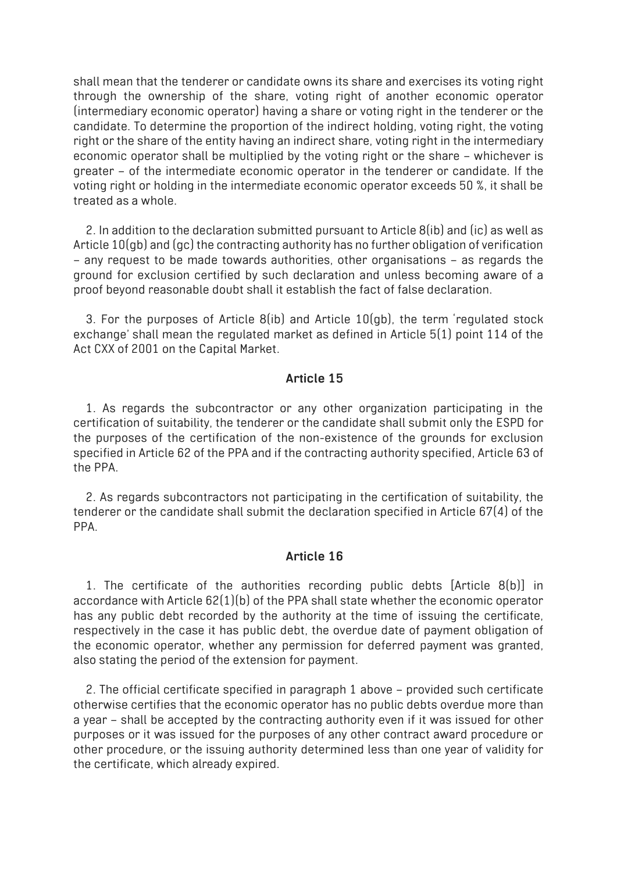shall mean that the tenderer or candidate owns its share and exercises its voting right through the ownership of the share, voting right of another economic operator (intermediary economic operator) having a share or voting right in the tenderer or the candidate. To determine the proportion of the indirect holding, voting right, the voting right or the share of the entity having an indirect share, voting right in the intermediary economic operator shall be multiplied by the voting right or the share – whichever is greater – of the intermediate economic operator in the tenderer or candidate. If the voting right or holding in the intermediate economic operator exceeds 50 %, it shall be treated as a whole.

2. In addition to the declaration submitted pursuant to Article 8(ib) and (ic) as well as Article 10(gb) and (gc) the contracting authority has no further obligation of verification – any request to be made towards authorities, other organisations – as regards the ground for exclusion certified by such declaration and unless becoming aware of a proof beyond reasonable doubt shall it establish the fact of false declaration.

3. For the purposes of Article 8(ib) and Article 10(gb), the term 'regulated stock exchange' shall mean the regulated market as defined in Article 5(1) point 114 of the Act CXX of 2001 on the Capital Market.

#### **Article 15**

1. As regards the subcontractor or any other organization participating in the certification of suitability, the tenderer or the candidate shall submit only the ESPD for the purposes of the certification of the non-existence of the grounds for exclusion specified in Article 62 of the PPA and if the contracting authority specified, Article 63 of the PPA.

2. As regards subcontractors not participating in the certification of suitability, the tenderer or the candidate shall submit the declaration specified in Article 67(4) of the PPA.

#### **Article 16**

1. The certificate of the authorities recording public debts [Article 8(b)] in accordance with Article 62(1)(b) of the PPA shall state whether the economic operator has any public debt recorded by the authority at the time of issuing the certificate, respectively in the case it has public debt, the overdue date of payment obligation of the economic operator, whether any permission for deferred payment was granted, also stating the period of the extension for payment.

2. The official certificate specified in paragraph 1 above – provided such certificate otherwise certifies that the economic operator has no public debts overdue more than a year – shall be accepted by the contracting authority even if it was issued for other purposes or it was issued for the purposes of any other contract award procedure or other procedure, or the issuing authority determined less than one year of validity for the certificate, which already expired.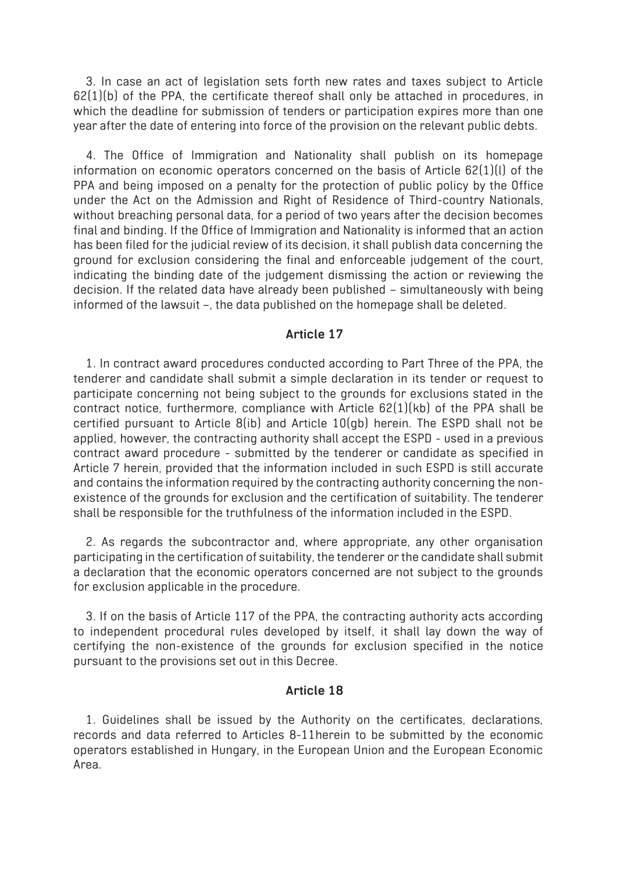3. In case an act of legislation sets forth new rates and taxes subject to Article  $62(1)(b)$  of the PPA, the certificate thereof shall only be attached in procedures, in which the deadline for submission of tenders or participation expires more than one year after the date of entering into force of the provision on the relevant public debts.

4. The Office of Immigration and Nationality shall publish on its homepage information on economic operators concerned on the basis of Article 62(1)(l) of the PPA and being imposed on a penalty for the protection of public policy by the Office under the Act on the Admission and Right of Residence of Third-country Nationals, without breaching personal data, for a period of two years after the decision becomes final and binding. If the Office of Immigration and Nationality is informed that an action has been filed for the judicial review of its decision, it shall publish data concerning the ground for exclusion considering the final and enforceable judgement of the court, indicating the binding date of the judgement dismissing the action or reviewing the decision. If the related data have already been published – simultaneously with being informed of the lawsuit –, the data published on the homepage shall be deleted.

#### **Article 17**

1. In contract award procedures conducted according to Part Three of the PPA, the tenderer and candidate shall submit a simple declaration in its tender or request to participate concerning not being subject to the grounds for exclusions stated in the contract notice, furthermore, compliance with Article 62(1)(kb) of the PPA shall be certified pursuant to Article 8(ib) and Article 10(gb) herein. The ESPD shall not be applied, however, the contracting authority shall accept the ESPD - used in a previous contract award procedure - submitted by the tenderer or candidate as specified in Article 7 herein, provided that the information included in such ESPD is still accurate and contains the information required by the contracting authority concerning the nonexistence of the grounds for exclusion and the certification of suitability. The tenderer shall be responsible for the truthfulness of the information included in the ESPD.

2. As regards the subcontractor and, where appropriate, any other organisation participating in the certification of suitability, the tenderer or the candidate shall submit a declaration that the economic operators concerned are not subject to the grounds for exclusion applicable in the procedure.

3. If on the basis of Article 117 of the PPA, the contracting authority acts according to independent procedural rules developed by itself, it shall lay down the way of certifying the non-existence of the grounds for exclusion specified in the notice pursuant to the provisions set out in this Decree.

#### **Article 18**

1. Guidelines shall be issued by the Authority on the certificates, declarations, records and data referred to Articles 8-11herein to be submitted by the economic operators established in Hungary, in the European Union and the European Economic Area.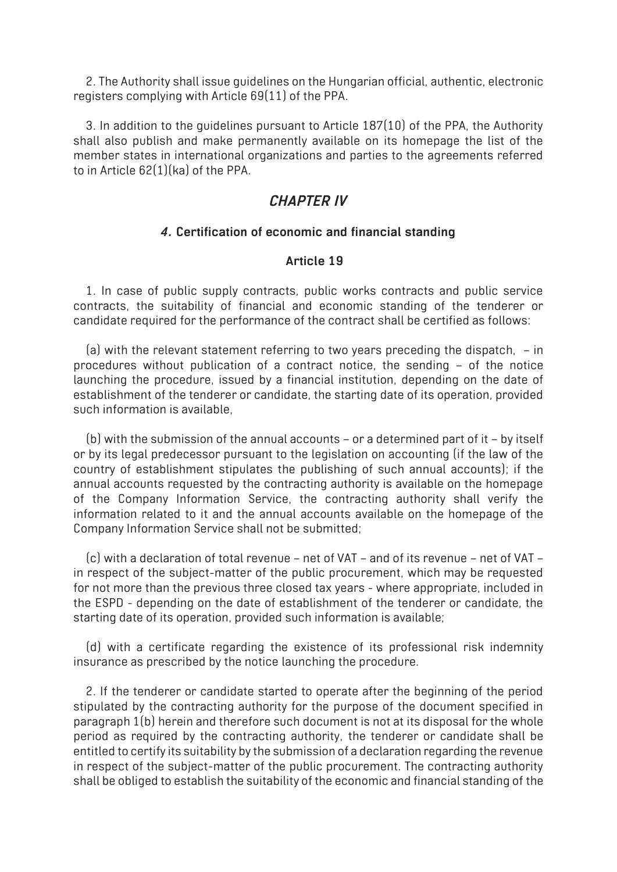2. The Authority shall issue guidelines on the Hungarian official, authentic, electronic registers complying with Article 69(11) of the PPA.

3. In addition to the guidelines pursuant to Article 187(10) of the PPA, the Authority shall also publish and make permanently available on its homepage the list of the member states in international organizations and parties to the agreements referred to in Article 62(1)(ka) of the PPA.

# *CHAPTER IV*

### *4.* **Certification of economic and financial standing**

### **Article 19**

1. In case of public supply contracts, public works contracts and public service contracts, the suitability of financial and economic standing of the tenderer or candidate required for the performance of the contract shall be certified as follows:

(a) with the relevant statement referring to two years preceding the dispatch, – in procedures without publication of a contract notice, the sending – of the notice launching the procedure, issued by a financial institution, depending on the date of establishment of the tenderer or candidate, the starting date of its operation, provided such information is available,

(b) with the submission of the annual accounts – or a determined part of it – by itself or by its legal predecessor pursuant to the legislation on accounting (if the law of the country of establishment stipulates the publishing of such annual accounts); if the annual accounts requested by the contracting authority is available on the homepage of the Company Information Service, the contracting authority shall verify the information related to it and the annual accounts available on the homepage of the Company Information Service shall not be submitted;

(c) with a declaration of total revenue – net of VAT – and of its revenue – net of VAT – in respect of the subject-matter of the public procurement, which may be requested for not more than the previous three closed tax years - where appropriate, included in the ESPD - depending on the date of establishment of the tenderer or candidate, the starting date of its operation, provided such information is available;

(d) with a certificate regarding the existence of its professional risk indemnity insurance as prescribed by the notice launching the procedure.

2. If the tenderer or candidate started to operate after the beginning of the period stipulated by the contracting authority for the purpose of the document specified in paragraph 1(b) herein and therefore such document is not at its disposal for the whole period as required by the contracting authority, the tenderer or candidate shall be entitled to certify its suitability by the submission of a declaration regarding the revenue in respect of the subject-matter of the public procurement. The contracting authority shall be obliged to establish the suitability of the economic and financial standing of the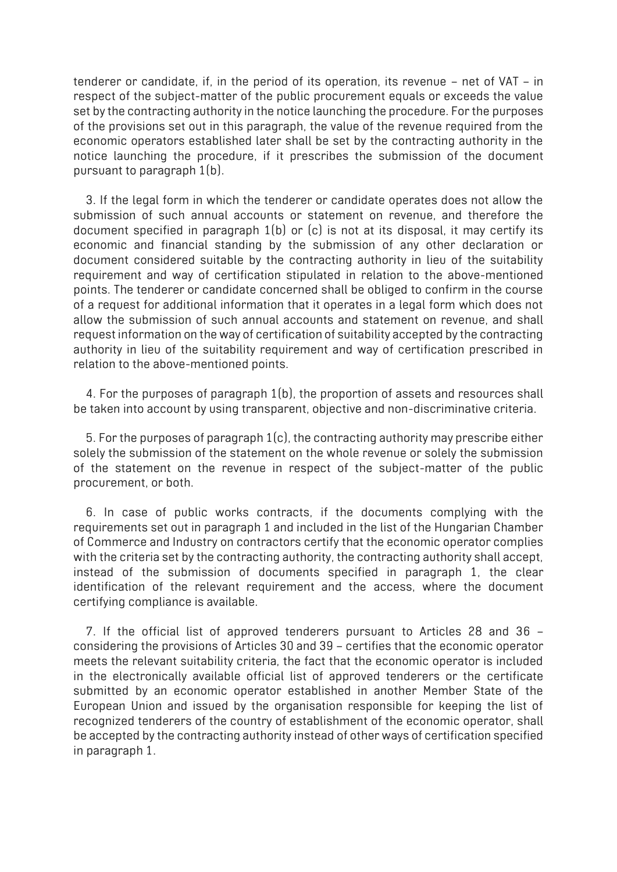tenderer or candidate, if, in the period of its operation, its revenue – net of VAT – in respect of the subject-matter of the public procurement equals or exceeds the value set by the contracting authority in the notice launching the procedure. For the purposes of the provisions set out in this paragraph, the value of the revenue required from the economic operators established later shall be set by the contracting authority in the notice launching the procedure, if it prescribes the submission of the document pursuant to paragraph 1(b).

3. If the legal form in which the tenderer or candidate operates does not allow the submission of such annual accounts or statement on revenue, and therefore the document specified in paragraph 1(b) or (c) is not at its disposal, it may certify its economic and financial standing by the submission of any other declaration or document considered suitable by the contracting authority in lieu of the suitability requirement and way of certification stipulated in relation to the above-mentioned points. The tenderer or candidate concerned shall be obliged to confirm in the course of a request for additional information that it operates in a legal form which does not allow the submission of such annual accounts and statement on revenue, and shall request information on the way of certification of suitability accepted by the contracting authority in lieu of the suitability requirement and way of certification prescribed in relation to the above-mentioned points.

4. For the purposes of paragraph 1(b), the proportion of assets and resources shall be taken into account by using transparent, objective and non-discriminative criteria.

5. For the purposes of paragraph 1(c), the contracting authority may prescribe either solely the submission of the statement on the whole revenue or solely the submission of the statement on the revenue in respect of the subject-matter of the public procurement, or both.

6. In case of public works contracts, if the documents complying with the requirements set out in paragraph 1 and included in the list of the Hungarian Chamber of Commerce and Industry on contractors certify that the economic operator complies with the criteria set by the contracting authority, the contracting authority shall accept, instead of the submission of documents specified in paragraph 1, the clear identification of the relevant requirement and the access, where the document certifying compliance is available.

7. If the official list of approved tenderers pursuant to Articles 28 and 36 – considering the provisions of Articles 30 and 39 – certifies that the economic operator meets the relevant suitability criteria, the fact that the economic operator is included in the electronically available official list of approved tenderers or the certificate submitted by an economic operator established in another Member State of the European Union and issued by the organisation responsible for keeping the list of recognized tenderers of the country of establishment of the economic operator, shall be accepted by the contracting authority instead of other ways of certification specified in paragraph 1.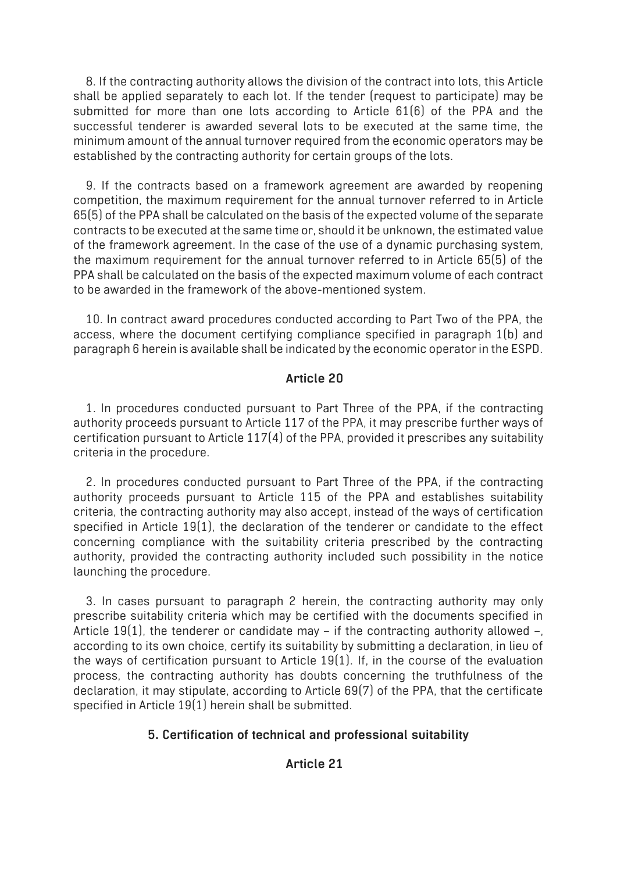8. If the contracting authority allows the division of the contract into lots, this Article shall be applied separately to each lot. If the tender (request to participate) may be submitted for more than one lots according to Article 61(6) of the PPA and the successful tenderer is awarded several lots to be executed at the same time, the minimum amount of the annual turnover required from the economic operators may be established by the contracting authority for certain groups of the lots.

9. If the contracts based on a framework agreement are awarded by reopening competition, the maximum requirement for the annual turnover referred to in Article 65(5) of the PPA shall be calculated on the basis of the expected volume of the separate contracts to be executed at the same time or, should it be unknown, the estimated value of the framework agreement. In the case of the use of a dynamic purchasing system, the maximum requirement for the annual turnover referred to in Article 65(5) of the PPA shall be calculated on the basis of the expected maximum volume of each contract to be awarded in the framework of the above-mentioned system.

10. In contract award procedures conducted according to Part Two of the PPA, the access, where the document certifying compliance specified in paragraph 1(b) and paragraph 6 herein is available shall be indicated by the economic operator in the ESPD.

### **Article 20**

1. In procedures conducted pursuant to Part Three of the PPA, if the contracting authority proceeds pursuant to Article 117 of the PPA, it may prescribe further ways of certification pursuant to Article 117(4) of the PPA, provided it prescribes any suitability criteria in the procedure.

2. In procedures conducted pursuant to Part Three of the PPA, if the contracting authority proceeds pursuant to Article 115 of the PPA and establishes suitability criteria, the contracting authority may also accept, instead of the ways of certification specified in Article 19(1), the declaration of the tenderer or candidate to the effect concerning compliance with the suitability criteria prescribed by the contracting authority, provided the contracting authority included such possibility in the notice launching the procedure.

3. In cases pursuant to paragraph 2 herein, the contracting authority may only prescribe suitability criteria which may be certified with the documents specified in Article 19(1), the tenderer or candidate may – if the contracting authority allowed  $-$ . according to its own choice, certify its suitability by submitting a declaration, in lieu of the ways of certification pursuant to Article 19(1). If, in the course of the evaluation process, the contracting authority has doubts concerning the truthfulness of the declaration, it may stipulate, according to Article 69(7) of the PPA, that the certificate specified in Article 19(1) herein shall be submitted.

### **5. Certification of technical and professional suitability**

### **Article 21**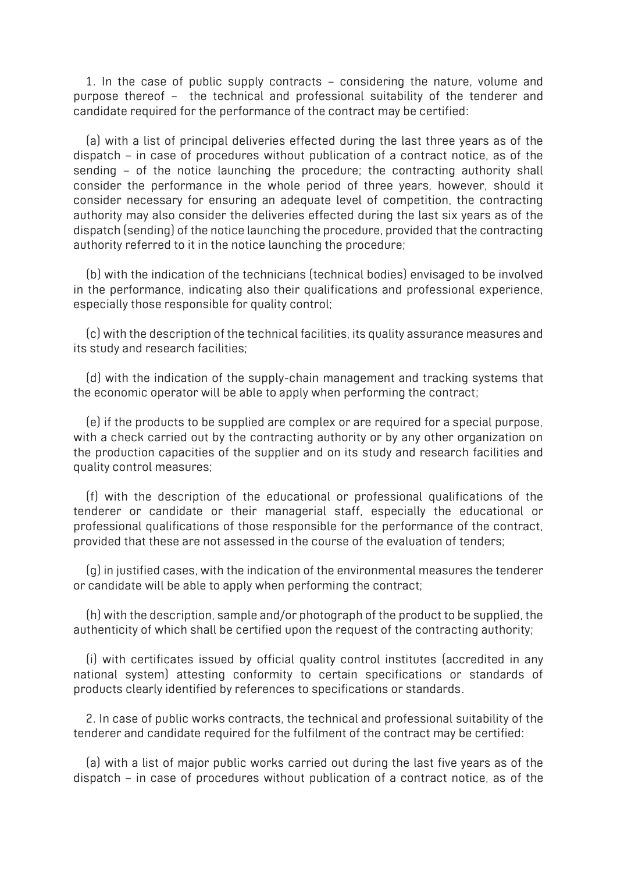1. In the case of public supply contracts – considering the nature, volume and purpose thereof – the technical and professional suitability of the tenderer and candidate required for the performance of the contract may be certified:

(a) with a list of principal deliveries effected during the last three years as of the dispatch – in case of procedures without publication of a contract notice, as of the sending – of the notice launching the procedure; the contracting authority shall consider the performance in the whole period of three years, however, should it consider necessary for ensuring an adequate level of competition, the contracting authority may also consider the deliveries effected during the last six years as of the dispatch (sending) of the notice launching the procedure, provided that the contracting authority referred to it in the notice launching the procedure;

(b) with the indication of the technicians (technical bodies) envisaged to be involved in the performance, indicating also their qualifications and professional experience, especially those responsible for quality control;

(c) with the description of the technical facilities, its quality assurance measures and its study and research facilities;

(d) with the indication of the supply-chain management and tracking systems that the economic operator will be able to apply when performing the contract;

(e) if the products to be supplied are complex or are required for a special purpose, with a check carried out by the contracting authority or by any other organization on the production capacities of the supplier and on its study and research facilities and quality control measures;

(f) with the description of the educational or professional qualifications of the tenderer or candidate or their managerial staff, especially the educational or professional qualifications of those responsible for the performance of the contract, provided that these are not assessed in the course of the evaluation of tenders;

(g) in justified cases, with the indication of the environmental measures the tenderer or candidate will be able to apply when performing the contract;

(h) with the description, sample and/or photograph of the product to be supplied, the authenticity of which shall be certified upon the request of the contracting authority;

(i) with certificates issued by official quality control institutes (accredited in any national system) attesting conformity to certain specifications or standards of products clearly identified by references to specifications or standards.

2. In case of public works contracts, the technical and professional suitability of the tenderer and candidate required for the fulfilment of the contract may be certified:

(a) with a list of major public works carried out during the last five years as of the dispatch – in case of procedures without publication of a contract notice, as of the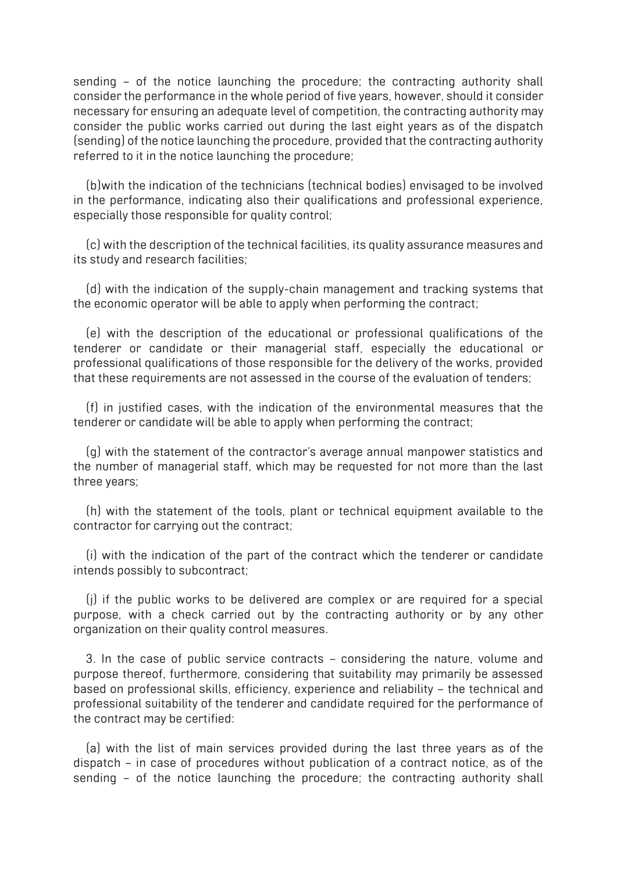sending – of the notice launching the procedure; the contracting authority shall consider the performance in the whole period of five years, however, should it consider necessary for ensuring an adequate level of competition, the contracting authority may consider the public works carried out during the last eight years as of the dispatch (sending) of the notice launching the procedure, provided that the contracting authority referred to it in the notice launching the procedure;

(b)with the indication of the technicians (technical bodies) envisaged to be involved in the performance, indicating also their qualifications and professional experience, especially those responsible for quality control;

(c) with the description of the technical facilities, its quality assurance measures and its study and research facilities;

(d) with the indication of the supply-chain management and tracking systems that the economic operator will be able to apply when performing the contract;

(e) with the description of the educational or professional qualifications of the tenderer or candidate or their managerial staff, especially the educational or professional qualifications of those responsible for the delivery of the works, provided that these requirements are not assessed in the course of the evaluation of tenders;

(f) in justified cases, with the indication of the environmental measures that the tenderer or candidate will be able to apply when performing the contract;

(g) with the statement of the contractor's average annual manpower statistics and the number of managerial staff, which may be requested for not more than the last three years;

(h) with the statement of the tools, plant or technical equipment available to the contractor for carrying out the contract;

(i) with the indication of the part of the contract which the tenderer or candidate intends possibly to subcontract;

(j) if the public works to be delivered are complex or are required for a special purpose, with a check carried out by the contracting authority or by any other organization on their quality control measures.

3. In the case of public service contracts – considering the nature, volume and purpose thereof, furthermore, considering that suitability may primarily be assessed based on professional skills, efficiency, experience and reliability – the technical and professional suitability of the tenderer and candidate required for the performance of the contract may be certified:

(a) with the list of main services provided during the last three years as of the dispatch – in case of procedures without publication of a contract notice, as of the sending – of the notice launching the procedure; the contracting authority shall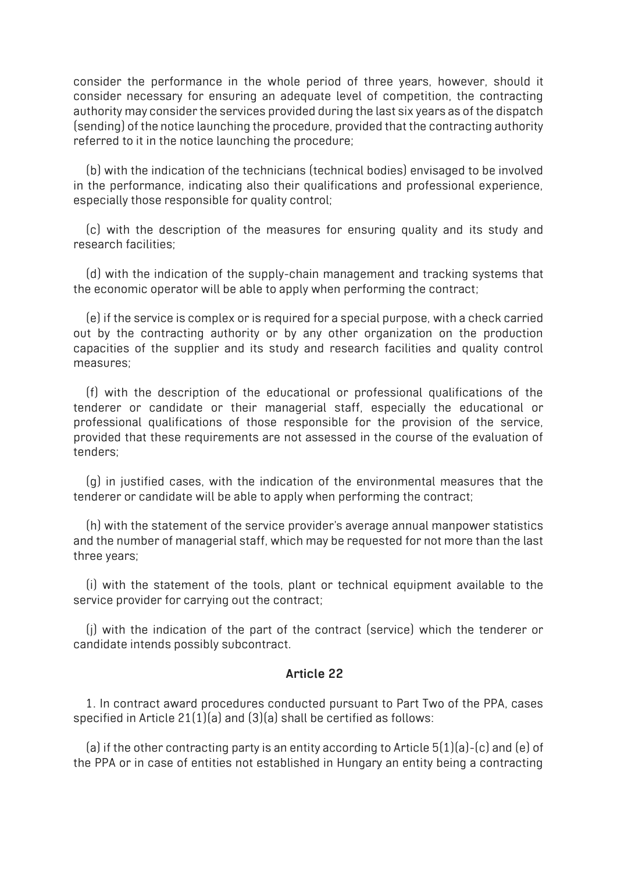consider the performance in the whole period of three years, however, should it consider necessary for ensuring an adequate level of competition, the contracting authority may consider the services provided during the last six years as of the dispatch (sending) of the notice launching the procedure, provided that the contracting authority referred to it in the notice launching the procedure;

(b) with the indication of the technicians (technical bodies) envisaged to be involved in the performance, indicating also their qualifications and professional experience, especially those responsible for quality control;

(c) with the description of the measures for ensuring quality and its study and research facilities;

(d) with the indication of the supply-chain management and tracking systems that the economic operator will be able to apply when performing the contract;

(e) if the service is complex or is required for a special purpose, with a check carried out by the contracting authority or by any other organization on the production capacities of the supplier and its study and research facilities and quality control measures;

(f) with the description of the educational or professional qualifications of the tenderer or candidate or their managerial staff, especially the educational or professional qualifications of those responsible for the provision of the service, provided that these requirements are not assessed in the course of the evaluation of tenders;

(g) in justified cases, with the indication of the environmental measures that the tenderer or candidate will be able to apply when performing the contract;

(h) with the statement of the service provider's average annual manpower statistics and the number of managerial staff, which may be requested for not more than the last three years;

(i) with the statement of the tools, plant or technical equipment available to the service provider for carrying out the contract;

(j) with the indication of the part of the contract (service) which the tenderer or candidate intends possibly subcontract.

#### **Article 22**

1. In contract award procedures conducted pursuant to Part Two of the PPA, cases specified in Article 21(1)(a) and (3)(a) shall be certified as follows:

(a) if the other contracting party is an entity according to Article  $5(1)(a)$ -(c) and (e) of the PPA or in case of entities not established in Hungary an entity being a contracting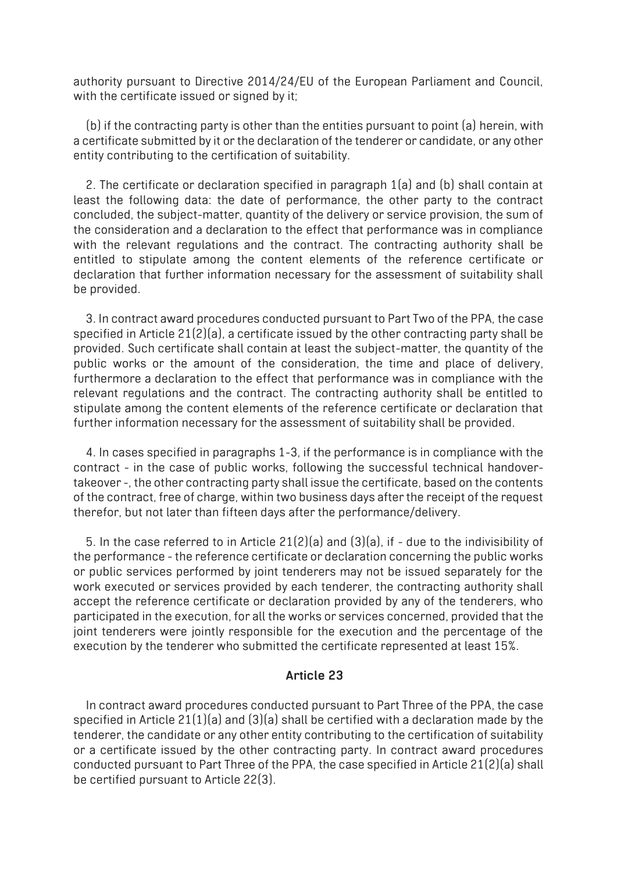authority pursuant to Directive 2014/24/EU of the European Parliament and Council, with the certificate issued or signed by it;

(b) if the contracting party is other than the entities pursuant to point (a) herein, with a certificate submitted by it or the declaration of the tenderer or candidate, or any other entity contributing to the certification of suitability.

2. The certificate or declaration specified in paragraph 1(a) and (b) shall contain at least the following data: the date of performance, the other party to the contract concluded, the subject-matter, quantity of the delivery or service provision, the sum of the consideration and a declaration to the effect that performance was in compliance with the relevant regulations and the contract. The contracting authority shall be entitled to stipulate among the content elements of the reference certificate or declaration that further information necessary for the assessment of suitability shall be provided.

3. In contract award procedures conducted pursuant to Part Two of the PPA, the case specified in Article 21(2)(a), a certificate issued by the other contracting party shall be provided. Such certificate shall contain at least the subject-matter, the quantity of the public works or the amount of the consideration, the time and place of delivery, furthermore a declaration to the effect that performance was in compliance with the relevant regulations and the contract. The contracting authority shall be entitled to stipulate among the content elements of the reference certificate or declaration that further information necessary for the assessment of suitability shall be provided.

4. In cases specified in paragraphs 1-3, if the performance is in compliance with the contract - in the case of public works, following the successful technical handovertakeover -, the other contracting party shall issue the certificate, based on the contents of the contract, free of charge, within two business days after the receipt of the request therefor, but not later than fifteen days after the performance/delivery.

5. In the case referred to in Article 21(2)(a) and (3)(a), if - due to the indivisibility of the performance - the reference certificate or declaration concerning the public works or public services performed by joint tenderers may not be issued separately for the work executed or services provided by each tenderer, the contracting authority shall accept the reference certificate or declaration provided by any of the tenderers, who participated in the execution, for all the works or services concerned, provided that the joint tenderers were jointly responsible for the execution and the percentage of the execution by the tenderer who submitted the certificate represented at least 15%.

#### **Article 23**

In contract award procedures conducted pursuant to Part Three of the PPA, the case specified in Article 21(1)(a) and (3)(a) shall be certified with a declaration made by the tenderer, the candidate or any other entity contributing to the certification of suitability or a certificate issued by the other contracting party. In contract award procedures conducted pursuant to Part Three of the PPA, the case specified in Article 21(2)(a) shall be certified pursuant to Article 22(3).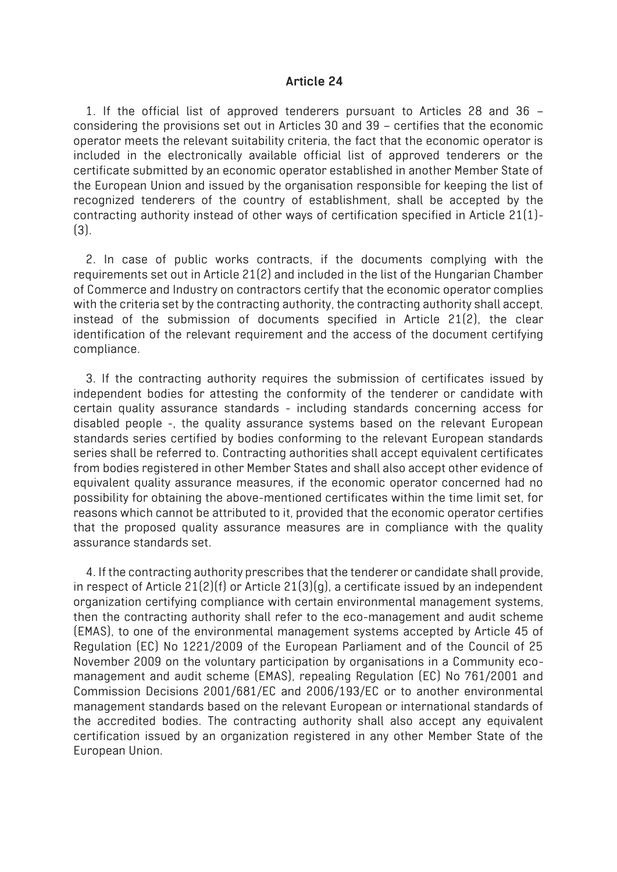#### **Article 24**

1. If the official list of approved tenderers pursuant to Articles 28 and 36 – considering the provisions set out in Articles 30 and 39 – certifies that the economic operator meets the relevant suitability criteria, the fact that the economic operator is included in the electronically available official list of approved tenderers or the certificate submitted by an economic operator established in another Member State of the European Union and issued by the organisation responsible for keeping the list of recognized tenderers of the country of establishment, shall be accepted by the contracting authority instead of other ways of certification specified in Article 21(1)- (3).

2. In case of public works contracts, if the documents complying with the requirements set out in Article 21(2) and included in the list of the Hungarian Chamber of Commerce and Industry on contractors certify that the economic operator complies with the criteria set by the contracting authority, the contracting authority shall accept, instead of the submission of documents specified in Article 21(2), the clear identification of the relevant requirement and the access of the document certifying compliance.

3. If the contracting authority requires the submission of certificates issued by independent bodies for attesting the conformity of the tenderer or candidate with certain quality assurance standards - including standards concerning access for disabled people -, the quality assurance systems based on the relevant European standards series certified by bodies conforming to the relevant European standards series shall be referred to. Contracting authorities shall accept equivalent certificates from bodies registered in other Member States and shall also accept other evidence of equivalent quality assurance measures, if the economic operator concerned had no possibility for obtaining the above-mentioned certificates within the time limit set, for reasons which cannot be attributed to it, provided that the economic operator certifies that the proposed quality assurance measures are in compliance with the quality assurance standards set.

4. If the contracting authority prescribes that the tenderer or candidate shall provide, in respect of Article 21(2)(f) or Article 21(3)(g), a certificate issued by an independent organization certifying compliance with certain environmental management systems, then the contracting authority shall refer to the eco-management and audit scheme (EMAS), to one of the environmental management systems accepted by Article 45 of Regulation (EC) No 1221/2009 of the European Parliament and of the Council of 25 November 2009 on the voluntary participation by organisations in a Community ecomanagement and audit scheme (EMAS), repealing Regulation (EC) No 761/2001 and Commission Decisions 2001/681/EC and 2006/193/EC or to another environmental management standards based on the relevant European or international standards of the accredited bodies. The contracting authority shall also accept any equivalent certification issued by an organization registered in any other Member State of the European Union.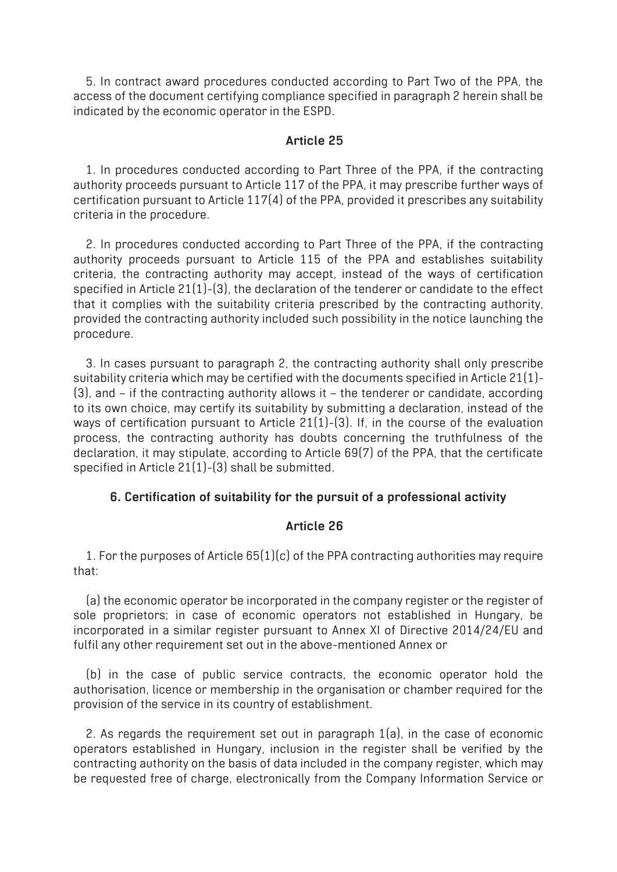5. In contract award procedures conducted according to Part Two of the PPA, the access of the document certifying compliance specified in paragraph 2 herein shall be indicated by the economic operator in the ESPD.

### **Article 25**

1. In procedures conducted according to Part Three of the PPA, if the contracting authority proceeds pursuant to Article 117 of the PPA, it may prescribe further ways of certification pursuant to Article 117(4) of the PPA, provided it prescribes any suitability criteria in the procedure.

2. In procedures conducted according to Part Three of the PPA, if the contracting authority proceeds pursuant to Article 115 of the PPA and establishes suitability criteria, the contracting authority may accept, instead of the ways of certification specified in Article 21(1)-(3), the declaration of the tenderer or candidate to the effect that it complies with the suitability criteria prescribed by the contracting authority, provided the contracting authority included such possibility in the notice launching the procedure.

3. In cases pursuant to paragraph 2, the contracting authority shall only prescribe suitability criteria which may be certified with the documents specified in Article 21(1)- (3), and – if the contracting authority allows it – the tenderer or candidate, according to its own choice, may certify its suitability by submitting a declaration, instead of the ways of certification pursuant to Article 21(1)-(3). If, in the course of the evaluation process, the contracting authority has doubts concerning the truthfulness of the declaration, it may stipulate, according to Article 69(7) of the PPA, that the certificate specified in Article 21(1)-(3) shall be submitted.

### **6. Certification of suitability for the pursuit of a professional activity**

### **Article 26**

1. For the purposes of Article 65(1)(c) of the PPA contracting authorities may require that:

(a) the economic operator be incorporated in the company register or the register of sole proprietors; in case of economic operators not established in Hungary, be incorporated in a similar register pursuant to Annex XI of Directive 2014/24/EU and fulfil any other requirement set out in the above-mentioned Annex or

(b) in the case of public service contracts, the economic operator hold the authorisation, licence or membership in the organisation or chamber required for the provision of the service in its country of establishment.

2. As regards the requirement set out in paragraph 1(a), in the case of economic operators established in Hungary, inclusion in the register shall be verified by the contracting authority on the basis of data included in the company register, which may be requested free of charge, electronically from the Company Information Service or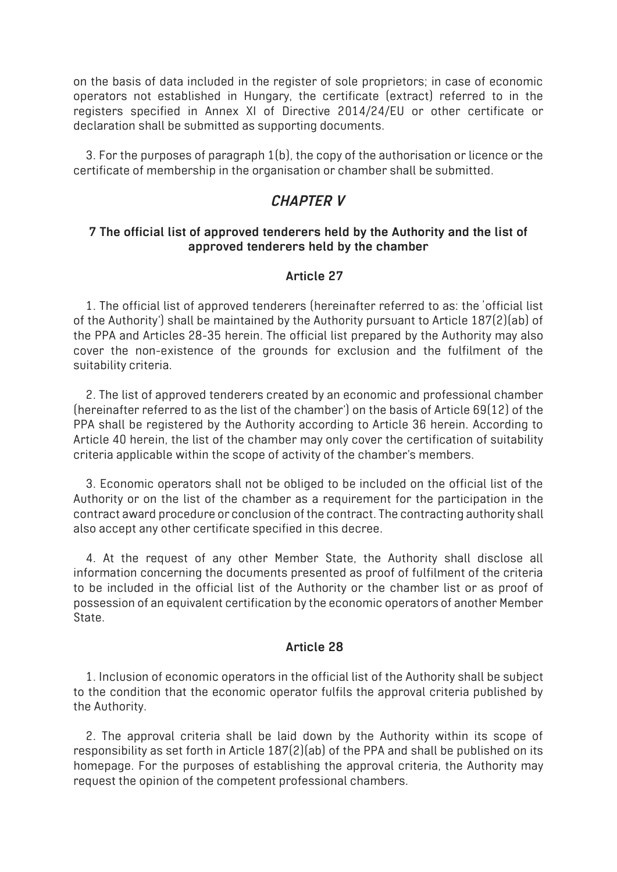on the basis of data included in the register of sole proprietors; in case of economic operators not established in Hungary, the certificate (extract) referred to in the registers specified in Annex XI of Directive 2014/24/EU or other certificate or declaration shall be submitted as supporting documents.

3. For the purposes of paragraph 1(b), the copy of the authorisation or licence or the certificate of membership in the organisation or chamber shall be submitted.

# *CHAPTER V*

### **7 The official list of approved tenderers held by the Authority and the list of approved tenderers held by the chamber**

### **Article 27**

1. The official list of approved tenderers (hereinafter referred to as: the 'official list of the Authority') shall be maintained by the Authority pursuant to Article 187(2)(ab) of the PPA and Articles 28-35 herein. The official list prepared by the Authority may also cover the non-existence of the grounds for exclusion and the fulfilment of the suitability criteria.

2. The list of approved tenderers created by an economic and professional chamber (hereinafter referred to as the list of the chamber') on the basis of Article 69(12) of the PPA shall be registered by the Authority according to Article 36 herein. According to Article 40 herein, the list of the chamber may only cover the certification of suitability criteria applicable within the scope of activity of the chamber's members.

3. Economic operators shall not be obliged to be included on the official list of the Authority or on the list of the chamber as a requirement for the participation in the contract award procedure or conclusion of the contract. The contracting authority shall also accept any other certificate specified in this decree.

4. At the request of any other Member State, the Authority shall disclose all information concerning the documents presented as proof of fulfilment of the criteria to be included in the official list of the Authority or the chamber list or as proof of possession of an equivalent certification by the economic operators of another Member State.

### **Article 28**

1. Inclusion of economic operators in the official list of the Authority shall be subject to the condition that the economic operator fulfils the approval criteria published by the Authority.

2. The approval criteria shall be laid down by the Authority within its scope of responsibility as set forth in Article 187(2)(ab) of the PPA and shall be published on its homepage. For the purposes of establishing the approval criteria, the Authority may request the opinion of the competent professional chambers.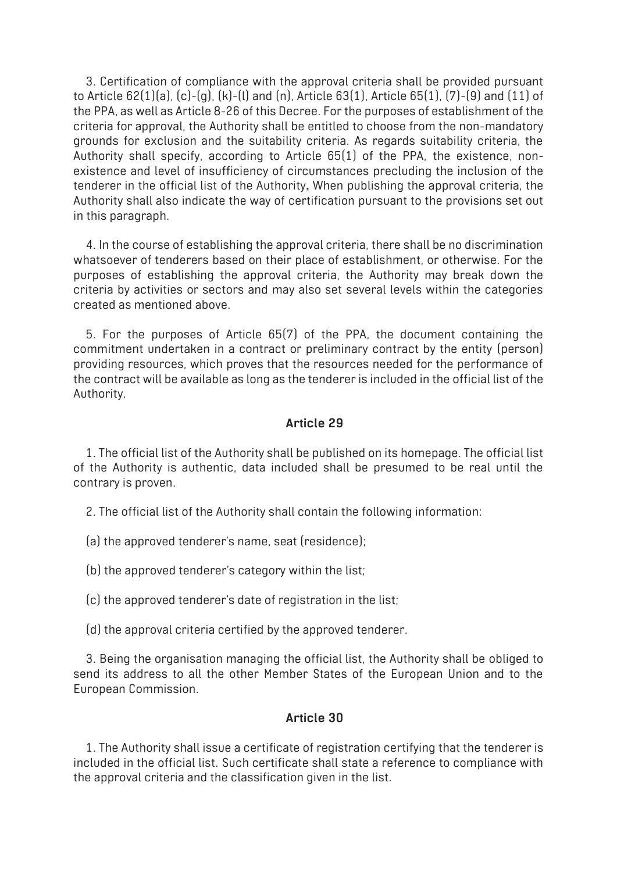3. Certification of compliance with the approval criteria shall be provided pursuant to Article 62(1)(a), (c)-(g), (k)-(l) and (n), Article 63(1), Article 65(1), (7)-(9) and (11) of the PPA, as well as Article 8-26 of this Decree. For the purposes of establishment of the criteria for approval, the Authority shall be entitled to choose from the non-mandatory grounds for exclusion and the suitability criteria. As regards suitability criteria, the Authority shall specify, according to Article 65(1) of the PPA, the existence, nonexistence and level of insufficiency of circumstances precluding the inclusion of the tenderer in the official list of the Authority**.** When publishing the approval criteria, the Authority shall also indicate the way of certification pursuant to the provisions set out in this paragraph.

4. In the course of establishing the approval criteria, there shall be no discrimination whatsoever of tenderers based on their place of establishment, or otherwise. For the purposes of establishing the approval criteria, the Authority may break down the criteria by activities or sectors and may also set several levels within the categories created as mentioned above.

5. For the purposes of Article 65(7) of the PPA, the document containing the commitment undertaken in a contract or preliminary contract by the entity (person) providing resources, which proves that the resources needed for the performance of the contract will be available as long as the tenderer is included in the official list of the Authority.

### **Article 29**

1. The official list of the Authority shall be published on its homepage. The official list of the Authority is authentic, data included shall be presumed to be real until the contrary is proven.

2. The official list of the Authority shall contain the following information:

(a) the approved tenderer's name, seat (residence);

(b) the approved tenderer's category within the list;

(c) the approved tenderer's date of registration in the list;

(d) the approval criteria certified by the approved tenderer.

3. Being the organisation managing the official list, the Authority shall be obliged to send its address to all the other Member States of the European Union and to the European Commission.

### **Article 30**

1. The Authority shall issue a certificate of registration certifying that the tenderer is included in the official list. Such certificate shall state a reference to compliance with the approval criteria and the classification given in the list.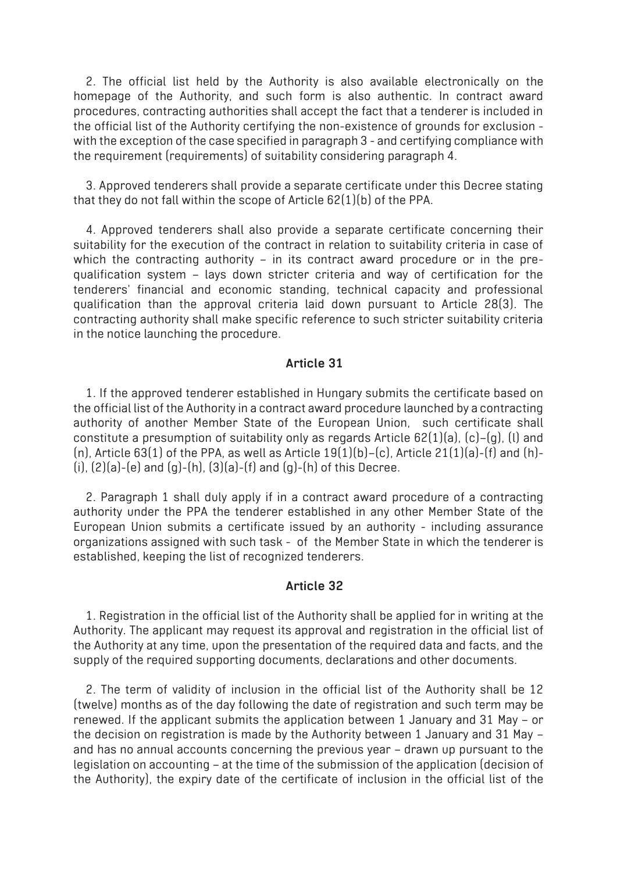2. The official list held by the Authority is also available electronically on the homepage of the Authority, and such form is also authentic. In contract award procedures, contracting authorities shall accept the fact that a tenderer is included in the official list of the Authority certifying the non-existence of grounds for exclusion with the exception of the case specified in paragraph 3 - and certifying compliance with the requirement (requirements) of suitability considering paragraph 4.

3. Approved tenderers shall provide a separate certificate under this Decree stating that they do not fall within the scope of Article 62(1)(b) of the PPA.

4. Approved tenderers shall also provide a separate certificate concerning their suitability for the execution of the contract in relation to suitability criteria in case of which the contracting authority - in its contract award procedure or in the prequalification system – lays down stricter criteria and way of certification for the tenderers' financial and economic standing, technical capacity and professional qualification than the approval criteria laid down pursuant to Article 28(3). The contracting authority shall make specific reference to such stricter suitability criteria in the notice launching the procedure.

#### **Article 31**

1. If the approved tenderer established in Hungary submits the certificate based on the official list of the Authority in a contract award procedure launched by a contracting authority of another Member State of the European Union, such certificate shall constitute a presumption of suitability only as regards Article 62(1)(a), (c)–(g), (l) and (n), Article  $63(1)$  of the PPA, as well as Article  $19(1)(b)$ –(c), Article  $21(1)(a)$ –(f) and (h)– (i), (2)(a)-(e) and (g)-(h), (3)(a)-(f) and (g)-(h) of this Decree.

2. Paragraph 1 shall duly apply if in a contract award procedure of a contracting authority under the PPA the tenderer established in any other Member State of the European Union submits a certificate issued by an authority - including assurance organizations assigned with such task - of the Member State in which the tenderer is established, keeping the list of recognized tenderers.

#### **Article 32**

1. Registration in the official list of the Authority shall be applied for in writing at the Authority. The applicant may request its approval and registration in the official list of the Authority at any time, upon the presentation of the required data and facts, and the supply of the required supporting documents, declarations and other documents.

2. The term of validity of inclusion in the official list of the Authority shall be 12 (twelve) months as of the day following the date of registration and such term may be renewed. If the applicant submits the application between 1 January and 31 May – or the decision on registration is made by the Authority between 1 January and 31 May – and has no annual accounts concerning the previous year – drawn up pursuant to the legislation on accounting – at the time of the submission of the application (decision of the Authority), the expiry date of the certificate of inclusion in the official list of the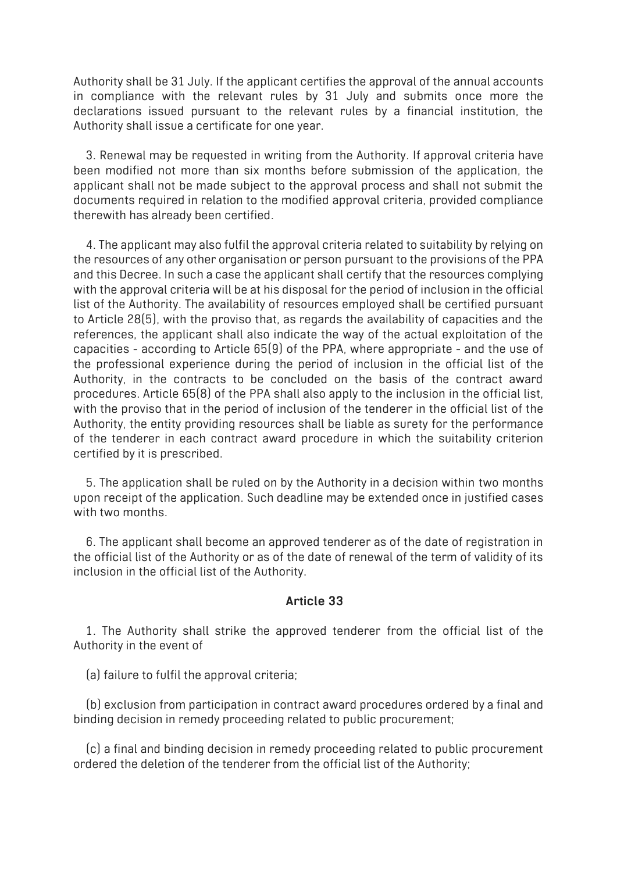Authority shall be 31 July. If the applicant certifies the approval of the annual accounts in compliance with the relevant rules by 31 July and submits once more the declarations issued pursuant to the relevant rules by a financial institution, the Authority shall issue a certificate for one year.

3. Renewal may be requested in writing from the Authority. If approval criteria have been modified not more than six months before submission of the application, the applicant shall not be made subject to the approval process and shall not submit the documents required in relation to the modified approval criteria, provided compliance therewith has already been certified.

4. The applicant may also fulfil the approval criteria related to suitability by relying on the resources of any other organisation or person pursuant to the provisions of the PPA and this Decree. In such a case the applicant shall certify that the resources complying with the approval criteria will be at his disposal for the period of inclusion in the official list of the Authority. The availability of resources employed shall be certified pursuant to Article 28(5), with the proviso that, as regards the availability of capacities and the references, the applicant shall also indicate the way of the actual exploitation of the capacities - according to Article 65(9) of the PPA, where appropriate - and the use of the professional experience during the period of inclusion in the official list of the Authority, in the contracts to be concluded on the basis of the contract award procedures. Article 65(8) of the PPA shall also apply to the inclusion in the official list, with the proviso that in the period of inclusion of the tenderer in the official list of the Authority, the entity providing resources shall be liable as surety for the performance of the tenderer in each contract award procedure in which the suitability criterion certified by it is prescribed.

5. The application shall be ruled on by the Authority in a decision within two months upon receipt of the application. Such deadline may be extended once in justified cases with two months

6. The applicant shall become an approved tenderer as of the date of registration in the official list of the Authority or as of the date of renewal of the term of validity of its inclusion in the official list of the Authority.

#### **Article 33**

1. The Authority shall strike the approved tenderer from the official list of the Authority in the event of

(a) failure to fulfil the approval criteria;

(b) exclusion from participation in contract award procedures ordered by a final and binding decision in remedy proceeding related to public procurement;

(c) a final and binding decision in remedy proceeding related to public procurement ordered the deletion of the tenderer from the official list of the Authority;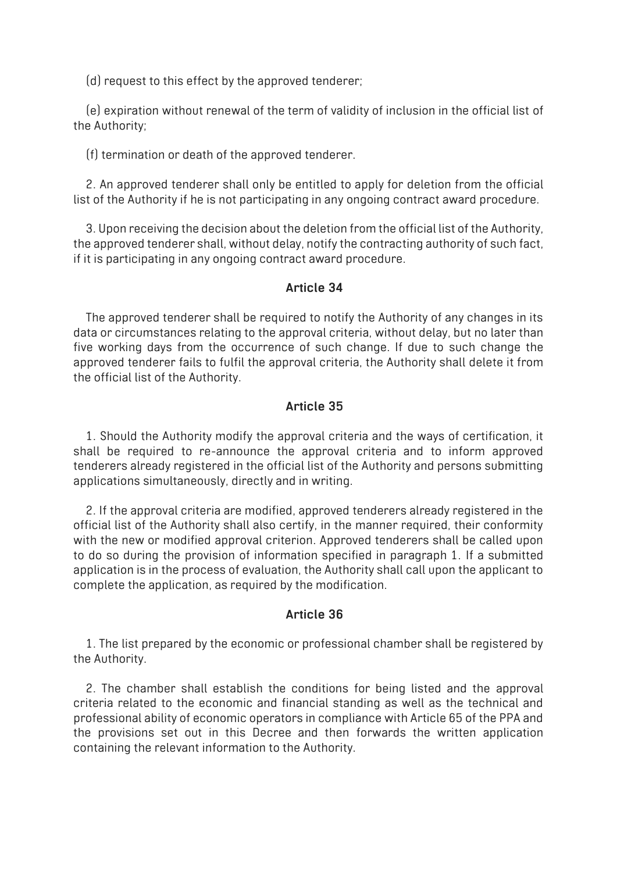(d) request to this effect by the approved tenderer;

(e) expiration without renewal of the term of validity of inclusion in the official list of the Authority;

(f) termination or death of the approved tenderer.

2. An approved tenderer shall only be entitled to apply for deletion from the official list of the Authority if he is not participating in any ongoing contract award procedure.

3. Upon receiving the decision about the deletion from the official list of the Authority, the approved tenderer shall, without delay, notify the contracting authority of such fact, if it is participating in any ongoing contract award procedure.

#### **Article 34**

The approved tenderer shall be required to notify the Authority of any changes in its data or circumstances relating to the approval criteria, without delay, but no later than five working days from the occurrence of such change. If due to such change the approved tenderer fails to fulfil the approval criteria, the Authority shall delete it from the official list of the Authority.

### **Article 35**

1. Should the Authority modify the approval criteria and the ways of certification, it shall be required to re-announce the approval criteria and to inform approved tenderers already registered in the official list of the Authority and persons submitting applications simultaneously, directly and in writing.

2. If the approval criteria are modified, approved tenderers already registered in the official list of the Authority shall also certify, in the manner required, their conformity with the new or modified approval criterion. Approved tenderers shall be called upon to do so during the provision of information specified in paragraph 1. If a submitted application is in the process of evaluation, the Authority shall call upon the applicant to complete the application, as required by the modification.

#### **Article 36**

1. The list prepared by the economic or professional chamber shall be registered by the Authority.

2. The chamber shall establish the conditions for being listed and the approval criteria related to the economic and financial standing as well as the technical and professional ability of economic operators in compliance with Article 65 of the PPA and the provisions set out in this Decree and then forwards the written application containing the relevant information to the Authority.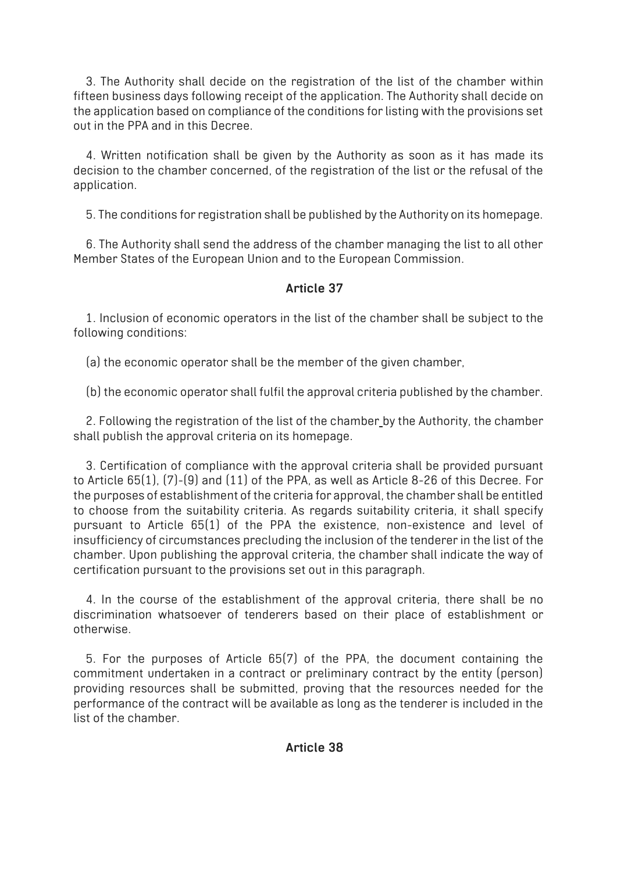3. The Authority shall decide on the registration of the list of the chamber within fifteen business days following receipt of the application. The Authority shall decide on the application based on compliance of the conditions for listing with the provisions set out in the PPA and in this Decree.

4. Written notification shall be given by the Authority as soon as it has made its decision to the chamber concerned, of the registration of the list or the refusal of the application.

5. The conditions for registration shall be published by the Authority on its homepage.

6. The Authority shall send the address of the chamber managing the list to all other Member States of the European Union and to the European Commission.

# **Article 37**

1. Inclusion of economic operators in the list of the chamber shall be subject to the following conditions:

(a) the economic operator shall be the member of the given chamber,

(b) the economic operator shall fulfil the approval criteria published by the chamber.

2. Following the registration of the list of the chamber by the Authority, the chamber shall publish the approval criteria on its homepage.

3. Certification of compliance with the approval criteria shall be provided pursuant to Article 65(1), (7)-(9) and (11) of the PPA, as well as Article 8-26 of this Decree. For the purposes of establishment of the criteria for approval, the chamber shall be entitled to choose from the suitability criteria. As regards suitability criteria, it shall specify pursuant to Article 65(1) of the PPA the existence, non-existence and level of insufficiency of circumstances precluding the inclusion of the tenderer in the list of the chamber. Upon publishing the approval criteria, the chamber shall indicate the way of certification pursuant to the provisions set out in this paragraph.

4. In the course of the establishment of the approval criteria, there shall be no discrimination whatsoever of tenderers based on their place of establishment or otherwise.

5. For the purposes of Article 65(7) of the PPA, the document containing the commitment undertaken in a contract or preliminary contract by the entity (person) providing resources shall be submitted, proving that the resources needed for the performance of the contract will be available as long as the tenderer is included in the list of the chamber.

### **Article 38**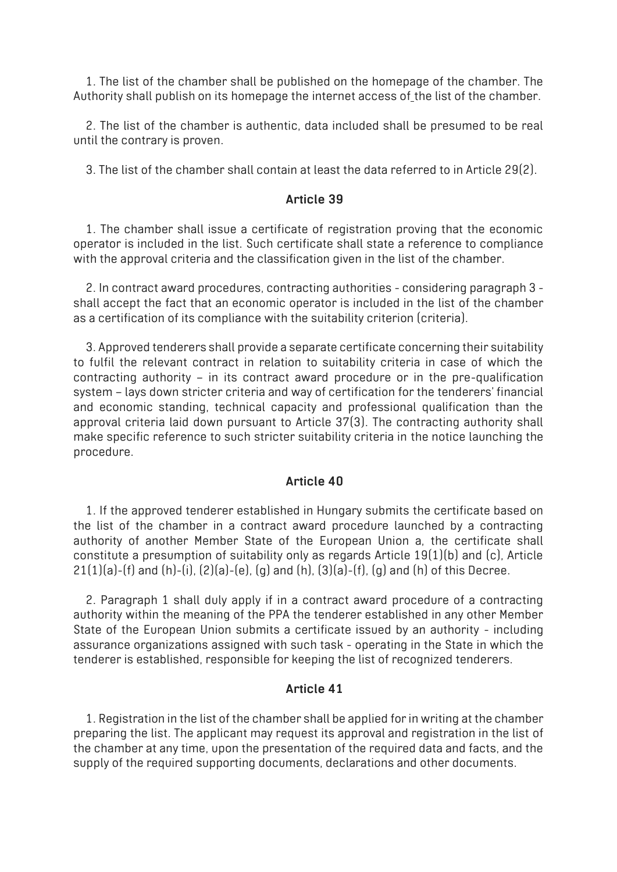1. The list of the chamber shall be published on the homepage of the chamber. The Authority shall publish on its homepage the internet access of the list of the chamber.

2. The list of the chamber is authentic, data included shall be presumed to be real until the contrary is proven.

3. The list of the chamber shall contain at least the data referred to in Article 29(2).

#### **Article 39**

1. The chamber shall issue a certificate of registration proving that the economic operator is included in the list. Such certificate shall state a reference to compliance with the approval criteria and the classification given in the list of the chamber.

2. In contract award procedures, contracting authorities - considering paragraph 3 shall accept the fact that an economic operator is included in the list of the chamber as a certification of its compliance with the suitability criterion (criteria).

3. Approved tenderers shall provide a separate certificate concerning their suitability to fulfil the relevant contract in relation to suitability criteria in case of which the contracting authority – in its contract award procedure or in the pre-qualification system – lays down stricter criteria and way of certification for the tenderers' financial and economic standing, technical capacity and professional qualification than the approval criteria laid down pursuant to Article 37(3). The contracting authority shall make specific reference to such stricter suitability criteria in the notice launching the procedure.

#### **Article 40**

1. If the approved tenderer established in Hungary submits the certificate based on the list of the chamber in a contract award procedure launched by a contracting authority of another Member State of the European Union a, the certificate shall constitute a presumption of suitability only as regards Article 19(1)(b) and (c), Article  $21(1)(a)$ -(f) and (h)-(i),  $(2)(a)$ -(e),  $(g)$  and (h),  $(3)(a)$ -(f),  $(g)$  and (h) of this Decree.

2. Paragraph 1 shall duly apply if in a contract award procedure of a contracting authority within the meaning of the PPA the tenderer established in any other Member State of the European Union submits a certificate issued by an authority - including assurance organizations assigned with such task - operating in the State in which the tenderer is established, responsible for keeping the list of recognized tenderers.

### **Article 41**

1. Registration in the list of the chamber shall be applied for in writing at the chamber preparing the list. The applicant may request its approval and registration in the list of the chamber at any time, upon the presentation of the required data and facts, and the supply of the required supporting documents, declarations and other documents.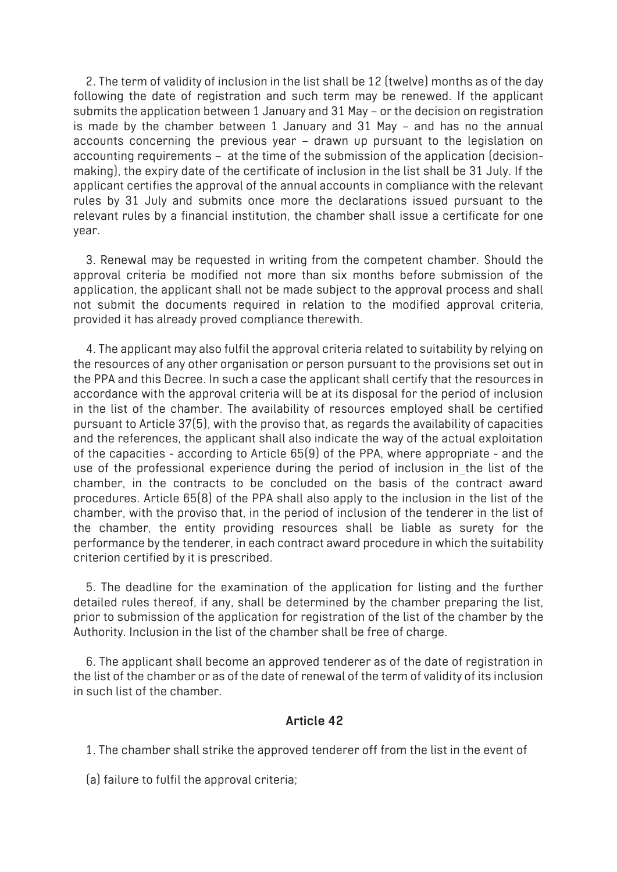2. The term of validity of inclusion in the list shall be 12 (twelve) months as of the day following the date of registration and such term may be renewed. If the applicant submits the application between 1 January and 31 May – or the decision on registration is made by the chamber between 1 January and 31 May – and has no the annual accounts concerning the previous year – drawn up pursuant to the legislation on accounting requirements – at the time of the submission of the application (decisionmaking), the expiry date of the certificate of inclusion in the list shall be 31 July. If the applicant certifies the approval of the annual accounts in compliance with the relevant rules by 31 July and submits once more the declarations issued pursuant to the relevant rules by a financial institution, the chamber shall issue a certificate for one year.

3. Renewal may be requested in writing from the competent chamber. Should the approval criteria be modified not more than six months before submission of the application, the applicant shall not be made subject to the approval process and shall not submit the documents required in relation to the modified approval criteria, provided it has already proved compliance therewith.

4. The applicant may also fulfil the approval criteria related to suitability by relying on the resources of any other organisation or person pursuant to the provisions set out in the PPA and this Decree. In such a case the applicant shall certify that the resources in accordance with the approval criteria will be at its disposal for the period of inclusion in the list of the chamber. The availability of resources employed shall be certified pursuant to Article 37(5), with the proviso that, as regards the availability of capacities and the references, the applicant shall also indicate the way of the actual exploitation of the capacities - according to Article 65(9) of the PPA, where appropriate - and the use of the professional experience during the period of inclusion in the list of the chamber, in the contracts to be concluded on the basis of the contract award procedures. Article 65(8) of the PPA shall also apply to the inclusion in the list of the chamber, with the proviso that, in the period of inclusion of the tenderer in the list of the chamber, the entity providing resources shall be liable as surety for the performance by the tenderer, in each contract award procedure in which the suitability criterion certified by it is prescribed.

5. The deadline for the examination of the application for listing and the further detailed rules thereof, if any, shall be determined by the chamber preparing the list, prior to submission of the application for registration of the list of the chamber by the Authority. Inclusion in the list of the chamber shall be free of charge.

6. The applicant shall become an approved tenderer as of the date of registration in the list of the chamber or as of the date of renewal of the term of validity of its inclusion in such list of the chamber.

### **Article 42**

1. The chamber shall strike the approved tenderer off from the list in the event of

(a) failure to fulfil the approval criteria;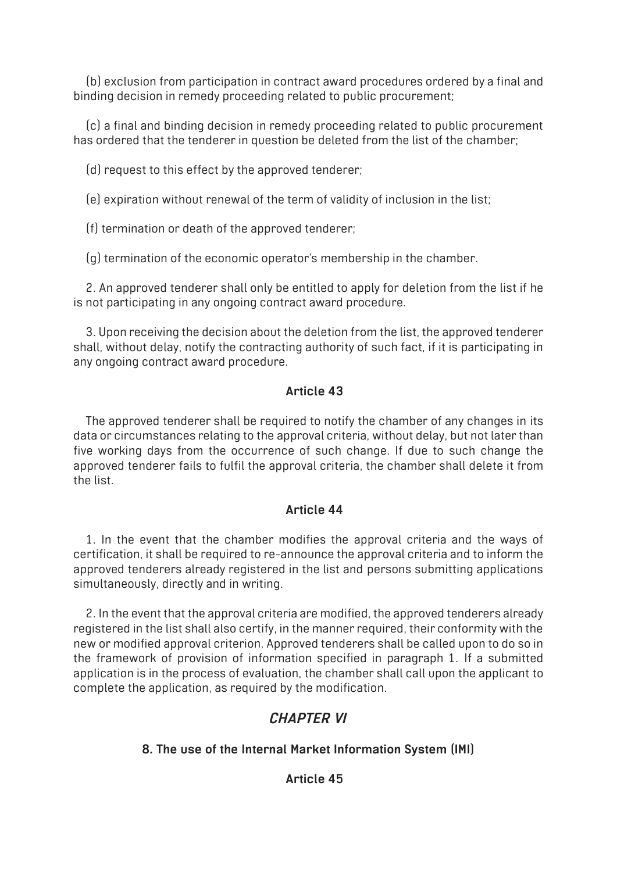(b) exclusion from participation in contract award procedures ordered by a final and binding decision in remedy proceeding related to public procurement;

(c) a final and binding decision in remedy proceeding related to public procurement has ordered that the tenderer in question be deleted from the list of the chamber;

(d) request to this effect by the approved tenderer;

(e) expiration without renewal of the term of validity of inclusion in the list;

(f) termination or death of the approved tenderer;

(g) termination of the economic operator's membership in the chamber.

2. An approved tenderer shall only be entitled to apply for deletion from the list if he is not participating in any ongoing contract award procedure.

3. Upon receiving the decision about the deletion from the list, the approved tenderer shall, without delay, notify the contracting authority of such fact, if it is participating in any ongoing contract award procedure.

# **Article 43**

The approved tenderer shall be required to notify the chamber of any changes in its data or circumstances relating to the approval criteria, without delay, but not later than five working days from the occurrence of such change. If due to such change the approved tenderer fails to fulfil the approval criteria, the chamber shall delete it from the list.

### **Article 44**

1. In the event that the chamber modifies the approval criteria and the ways of certification, it shall be required to re-announce the approval criteria and to inform the approved tenderers already registered in the list and persons submitting applications simultaneously, directly and in writing.

2. In the event that the approval criteria are modified, the approved tenderers already registered in the list shall also certify, in the manner required, their conformity with the new or modified approval criterion. Approved tenderers shall be called upon to do so in the framework of provision of information specified in paragraph 1. If a submitted application is in the process of evaluation, the chamber shall call upon the applicant to complete the application, as required by the modification.

# *CHAPTER VI*

# **8. The use of the Internal Market Information System (IMI)**

# **Article 45**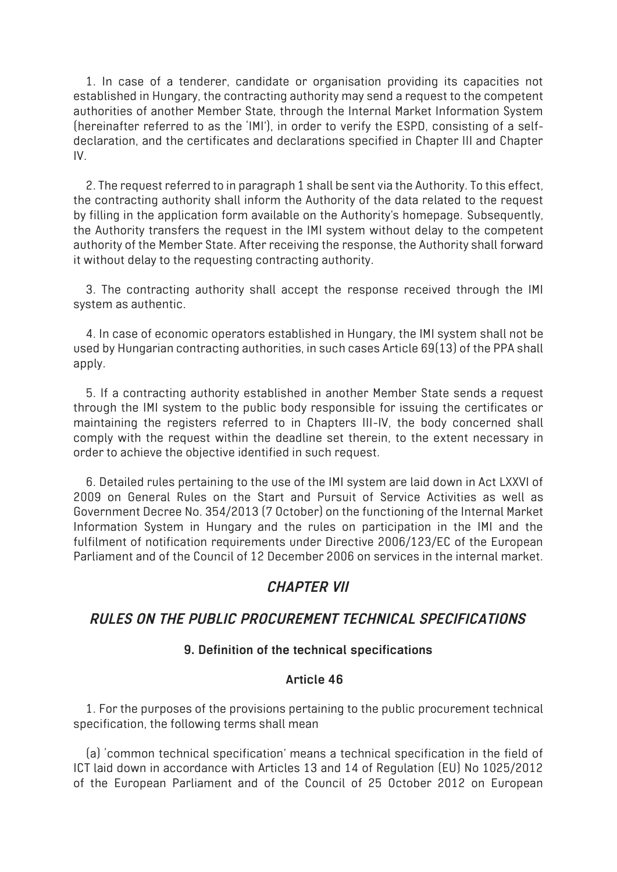1. In case of a tenderer, candidate or organisation providing its capacities not established in Hungary, the contracting authority may send a request to the competent authorities of another Member State, through the Internal Market Information System (hereinafter referred to as the 'IMI'), in order to verify the ESPD, consisting of a selfdeclaration, and the certificates and declarations specified in Chapter III and Chapter IV.

2. The request referred to in paragraph 1 shall be sent via the Authority. To this effect, the contracting authority shall inform the Authority of the data related to the request by filling in the application form available on the Authority's homepage. Subsequently, the Authority transfers the request in the IMI system without delay to the competent authority of the Member State. After receiving the response, the Authority shall forward it without delay to the requesting contracting authority.

3. The contracting authority shall accept the response received through the IMI system as authentic.

4. In case of economic operators established in Hungary, the IMI system shall not be used by Hungarian contracting authorities, in such cases Article 69(13) of the PPA shall apply.

5. If a contracting authority established in another Member State sends a request through the IMI system to the public body responsible for issuing the certificates or maintaining the registers referred to in Chapters III-IV, the body concerned shall comply with the request within the deadline set therein, to the extent necessary in order to achieve the objective identified in such request.

6. Detailed rules pertaining to the use of the IMI system are laid down in Act LXXVI of 2009 on General Rules on the Start and Pursuit of Service Activities as well as Government Decree No. 354/2013 (7 October) on the functioning of the Internal Market Information System in Hungary and the rules on participation in the IMI and the fulfilment of notification requirements under Directive 2006/123/EC of the European Parliament and of the Council of 12 December 2006 on services in the internal market.

# *CHAPTER VII*

### *RULES ON THE PUBLIC PROCUREMENT TECHNICAL SPECIFICATIONS*

### **9. Definition of the technical specifications**

### **Article 46**

1. For the purposes of the provisions pertaining to the public procurement technical specification, the following terms shall mean

(a) 'common technical specification' means a technical specification in the field of ICT laid down in accordance with Articles 13 and 14 of Regulation (EU) No 1025/2012 of the European Parliament and of the Council of 25 October 2012 on European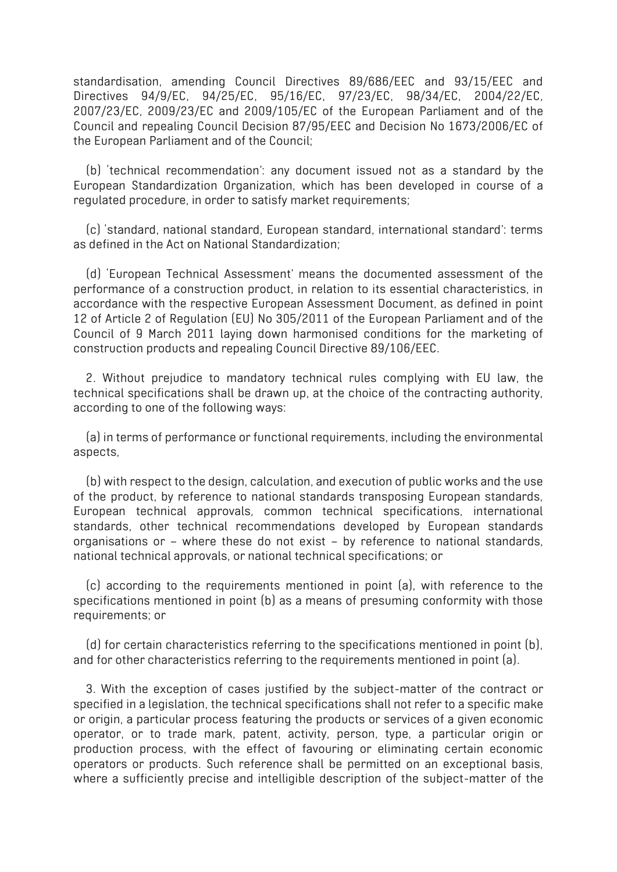standardisation, amending Council Directives 89/686/EEC and 93/15/EEC and Directives 94/9/EC, 94/25/EC, 95/16/EC, 97/23/EC, 98/34/EC, 2004/22/EC, 2007/23/EC, 2009/23/EC and 2009/105/EC of the European Parliament and of the Council and repealing Council Decision 87/95/EEC and Decision No 1673/2006/EC of the European Parliament and of the Council;

(b) 'technical recommendation': any document issued not as a standard by the European Standardization Organization, which has been developed in course of a regulated procedure, in order to satisfy market requirements;

(c) 'standard, national standard, European standard, international standard': terms as defined in the Act on National Standardization;

(d) 'European Technical Assessment' means the documented assessment of the performance of a construction product, in relation to its essential characteristics, in accordance with the respective European Assessment Document, as defined in point 12 of Article 2 of Regulation (EU) No 305/2011 of the European Parliament and of the Council of 9 March 2011 laying down harmonised conditions for the marketing of construction products and repealing Council Directive 89/106/EEC.

2. Without prejudice to mandatory technical rules complying with EU law, the technical specifications shall be drawn up, at the choice of the contracting authority, according to one of the following ways:

(a) in terms of performance or functional requirements, including the environmental aspects,

(b) with respect to the design, calculation, and execution of public works and the use of the product, by reference to national standards transposing European standards, European technical approvals, common technical specifications, international standards, other technical recommendations developed by European standards organisations or – where these do not exist – by reference to national standards, national technical approvals, or national technical specifications; or

(c) according to the requirements mentioned in point (a), with reference to the specifications mentioned in point (b) as a means of presuming conformity with those requirements; or

(d) for certain characteristics referring to the specifications mentioned in point (b), and for other characteristics referring to the requirements mentioned in point (a).

3. With the exception of cases justified by the subject-matter of the contract or specified in a legislation, the technical specifications shall not refer to a specific make or origin, a particular process featuring the products or services of a given economic operator, or to trade mark, patent, activity, person, type, a particular origin or production process, with the effect of favouring or eliminating certain economic operators or products. Such reference shall be permitted on an exceptional basis, where a sufficiently precise and intelligible description of the subject-matter of the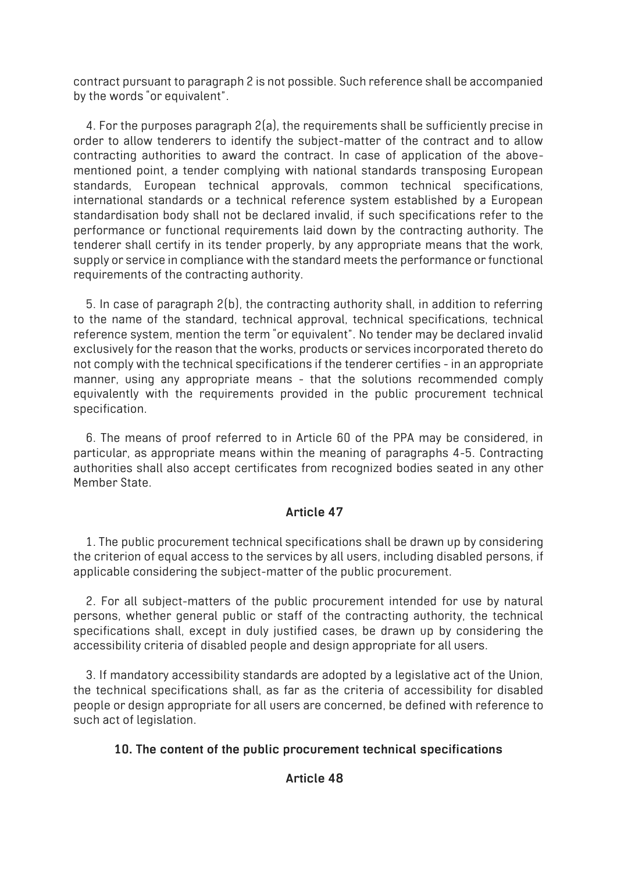contract pursuant to paragraph 2 is not possible. Such reference shall be accompanied by the words "or equivalent".

4. For the purposes paragraph 2(a), the requirements shall be sufficiently precise in order to allow tenderers to identify the subject-matter of the contract and to allow contracting authorities to award the contract. In case of application of the abovementioned point, a tender complying with national standards transposing European standards, European technical approvals, common technical specifications, international standards or a technical reference system established by a European standardisation body shall not be declared invalid, if such specifications refer to the performance or functional requirements laid down by the contracting authority. The tenderer shall certify in its tender properly, by any appropriate means that the work, supply or service in compliance with the standard meets the performance or functional requirements of the contracting authority.

5. In case of paragraph 2(b), the contracting authority shall, in addition to referring to the name of the standard, technical approval, technical specifications, technical reference system, mention the term "or equivalent". No tender may be declared invalid exclusively for the reason that the works, products or services incorporated thereto do not comply with the technical specifications if the tenderer certifies - in an appropriate manner, using any appropriate means - that the solutions recommended comply equivalently with the requirements provided in the public procurement technical specification.

6. The means of proof referred to in Article 60 of the PPA may be considered, in particular, as appropriate means within the meaning of paragraphs 4-5. Contracting authorities shall also accept certificates from recognized bodies seated in any other Member State.

### **Article 47**

1. The public procurement technical specifications shall be drawn up by considering the criterion of equal access to the services by all users, including disabled persons, if applicable considering the subject-matter of the public procurement.

2. For all subject-matters of the public procurement intended for use by natural persons, whether general public or staff of the contracting authority, the technical specifications shall, except in duly justified cases, be drawn up by considering the accessibility criteria of disabled people and design appropriate for all users.

3. If mandatory accessibility standards are adopted by a legislative act of the Union, the technical specifications shall, as far as the criteria of accessibility for disabled people or design appropriate for all users are concerned, be defined with reference to such act of legislation.

### **10. The content of the public procurement technical specifications**

### **Article 48**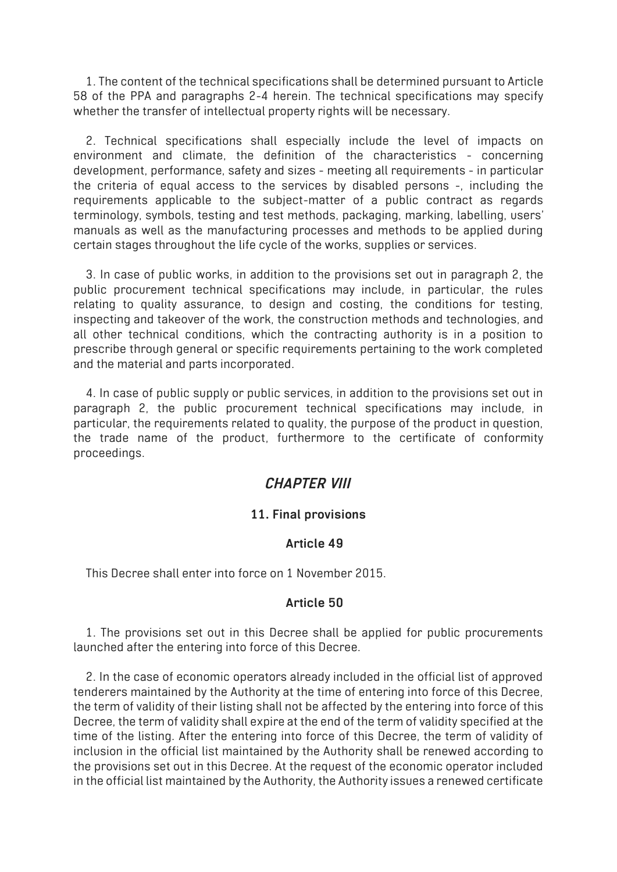1. The content of the technical specifications shall be determined pursuant to Article 58 of the PPA and paragraphs 2-4 herein. The technical specifications may specify whether the transfer of intellectual property rights will be necessary.

2. Technical specifications shall especially include the level of impacts on environment and climate, the definition of the characteristics - concerning development, performance, safety and sizes - meeting all requirements - in particular the criteria of equal access to the services by disabled persons -, including the requirements applicable to the subject-matter of a public contract as regards terminology, symbols, testing and test methods, packaging, marking, labelling, users' manuals as well as the manufacturing processes and methods to be applied during certain stages throughout the life cycle of the works, supplies or services.

3. In case of public works, in addition to the provisions set out in paragraph 2, the public procurement technical specifications may include, in particular, the rules relating to quality assurance, to design and costing, the conditions for testing, inspecting and takeover of the work, the construction methods and technologies, and all other technical conditions, which the contracting authority is in a position to prescribe through general or specific requirements pertaining to the work completed and the material and parts incorporated.

4. In case of public supply or public services, in addition to the provisions set out in paragraph 2, the public procurement technical specifications may include, in particular, the requirements related to quality, the purpose of the product in question, the trade name of the product, furthermore to the certificate of conformity proceedings.

# *CHAPTER VIII*

### **11. Final provisions**

### **Article 49**

This Decree shall enter into force on 1 November 2015.

#### **Article 50**

1. The provisions set out in this Decree shall be applied for public procurements launched after the entering into force of this Decree.

2. In the case of economic operators already included in the official list of approved tenderers maintained by the Authority at the time of entering into force of this Decree, the term of validity of their listing shall not be affected by the entering into force of this Decree, the term of validity shall expire at the end of the term of validity specified at the time of the listing. After the entering into force of this Decree, the term of validity of inclusion in the official list maintained by the Authority shall be renewed according to the provisions set out in this Decree. At the request of the economic operator included in the official list maintained by the Authority, the Authority issues a renewed certificate